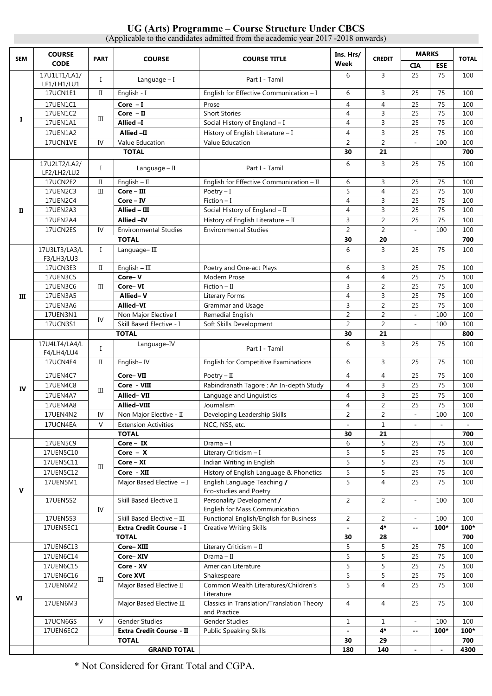#### **UG (Arts) Programme – Course Structure Under CBCS**  (Applicable to the candidates admitted from the academic year 2017 -2018 onwards)

**SEM COURSE CODE PART COURSE Ins. Hrs/ PART Week CREDIT MARKS TOTAL CIA ESE I**  17U1LT1/LA1/ LF1/LH1/LU1 I Language – I Part I - Tamil <sup>6</sup> <sup>3</sup> <sup>25</sup> <sup>75</sup> <sup>100</sup> 17UCN1E1 II English - I English - I English for Effective Communication – I 6 3 3 25 75 100 17UEN1C1 III **Core – I** Prose 4 4 25 75 100 17UEN1C2 **Core – II** Short Stories 4 3 25 75 100 17UEN1A1 **Allied –I** Social History of England – I 4 3 25 75 100 17UEN1A2 **Allied –II H**istory of English Literature – I 4 3 25 75 100 17UCN1VE IV Value Education Value Education 2 2 - 100 100  **TOTAL 30 21 700 II**  17U2LT2/LA2/ L7U2LT2/LA2/ I Language – II Part I - Tamil 6 3 25 75 100<br>LF2/LH2/LU2 I Language – II Part I - Tamil 6 3 25 75 17UCN2E2 II English – II English for Effective Communication – II 6 3 25 75 100<br>17UEN2C3 III **Core – III** Poetry – I Poetry – I 5 4 25 75 100 17UEN2C3 III **Core – III** Poetry – I 5 4 25 75 100 17UEN2C4 **Core – IV** Fiction – I 4 3 25 75 100 17UEN2A3 **Allied – III** Social History of England – II 4 3 25 75 100 17UEN2A4 **Allied –IV History of English Literature – II** 3 2 25 75 100 17UCN2ES IV Environmental Studies Environmental Studies 2 2 2 - 100 100  **TOTAL 30 20 700 III**  17U3LT3/LA3/L F3/LH3/LU3 I Language– III 6 3 25 75 100 17UCN3E3 | II | English – III | Poetry and One-act Plays | 6 | 3 | 25 | 75 | 100 17UEN3C5 III **Core– V Modern Prose** 4 4 4 25 75 100 17UEN3C6 **Core– VI** Fiction – II 3 2 25 75 100 17UEN3A5 **Allied– V** Literary Forms 17UEN3A5 1955 100 17UEN3A6 **Allied–VI Grammar and Usage 3 2 25 75 100** 17UEN3N1 IV Non Major Elective I Remedial English 2 2 - 100 100<br>IV Chill Bosed Elective June Ceft Shills Development 17UCN3S1 N NUTT NIGH REGIVE 1 Soft Skills Development 2 2 2 - 100 100<br>17UCN3S1 N Skill Based Elective - I Soft Skills Development 2 2 2 - 100 100  **TOTAL 30 21 800 IV**  17U4LT4/LA4/L 7U4LT4/LA4/L | I | Language–IV | Part I - Tamil | 6 | 3 | 25 | 75 | 100<br>F4/LH4/LU4 | I | Language–IV | Part I - Tamil | 6 | 3 | 25 | 75 | 100 17UCN4E4 | II | English– IV | English for Competitive Examinations | 6 | 3 | 25 | 75 | 100 17UEN4C7 III **Core– VII** Poetry – II 4 4 25 75 100 17UEN4C8 core - **VIII** Rabindranath Tagore : An In-depth Study 4 3 3 25 75 100 17UEN4A7 **Allied–VII Language and Linguistics** 4 3 25 75 100 17UEN4A8 | **Allied–VIII** | Journalism | 4 | 2 | 25 | 75 | 100 17UEN4N2 | IV | Non Major Elective - II | Developing Leadership Skills | 2 | 2 | 2 | - | 100 | 100 17UCN4EA V Extension Activities NCC, NSS, etc. 1 - 1 1  **TOTAL 30 21 700 V**  17UEN5C9 III **Core – IX** Drama – I 6 5 25 75 100 17UEN5C10 **Core – X** Literary Criticism – I 5 3 5 3 5 75 100 17UEN5C11 **Core – XI** Indian Writing in English 5 5 3 25 75 100 17UEN5C12 **Core - XII** History of English Language & Phonetics 5 5 25 75 100 17UEN5M1 Major Based Elective – I English Language Teaching **/** Eco-studies and Poetry 5 4 25 75 100 17UEN5S2 IV Skill Based Elective II Personality Development **/** English for Mass Communication 2 2 2 100 100 17UEN5S3 Skill Based Elective – III Functional English/English for Business 2 2 2 - 100 100<br>17UEN5EC1 Extra Credit Course - I Creative Writing Skills - 4\* - 100\* 100 17UEN5EC1 **Extra Credit Course - I** Creative Writing Skills **- 4\* -- 100\* 100\* TOTAL 30 28 700 VI**  17UEN6C13 III **Core– XIII Literary Criticism – II 5 5 3 25 75 100** 17UEN6C14 **Core– XIV** Drama – II 5 5 25 75 100 17UEN6C15 **Core - XV** American Literature 5 5 3 25 75 100 17UEN6C16 **Core XVI** Shakespeare 5 5 25 75 100 17UEN6M2 Major Based Elective II Common Wealth Literatures/Children's Literature 5 4 25 75 100 17UEN6M3 Major Based Elective III Classics in Translation/Translation Theory and Practice 4 4 25 75 100 17UCN6GS | V | Gender Studies | Gender Studies | 1 | 1 | 1 | 100 | 100 17UEN6EC2 **Extra Credit Course - II** Public Speaking Skills **- 4\* -- 100\* 100\* TOTAL 30 29 700 GRAND TOTAL 180 140 - - 4300**

\* Not Considered for Grant Total and CGPA.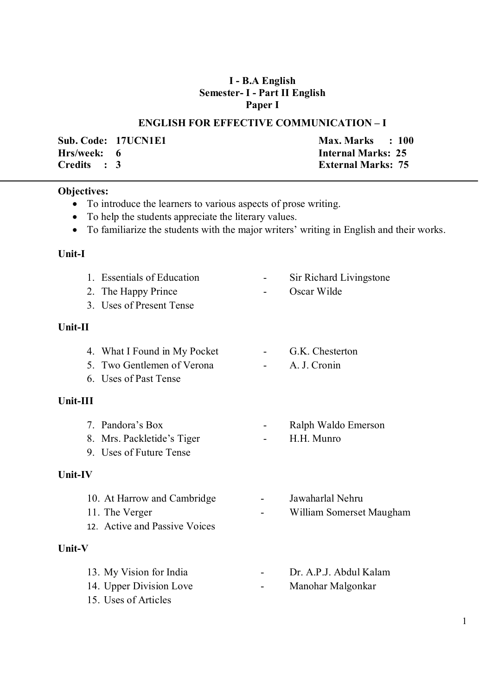### **I - B.A English Semester- I - Part II English Paper I**

#### **ENGLISH FOR EFFECTIVE COMMUNICATION – I**

**Hrs/week: 6 Internal Marks: 25 Credits : 3 External Marks: 75** 

**Sub. Code: 17UCN1E1 Max. Marks : 100** 

#### **Objectives:**

- To introduce the learners to various aspects of prose writing.
- To help the students appreciate the literary values.
- To familiarize the students with the major writers' writing in English and their works.

#### **Unit-I**

- 1. Essentials of Education Sir Richard Livingstone
- 2. The Happy Prince **-** Oscar Wilde
- 3. Uses of Present Tense

### **Unit-II**

- 4. What I Found in My Pocket G.K. Chesterton
- 5. Two Gentlemen of Verona A. J. Cronin
- 6. Uses of Past Tense

### **Unit-III**

- 7. Pandora's Box Ralph Waldo Emerson
- 8. Mrs. Packletide's Tiger H.H. Munro
- 9. Uses of Future Tense

### **Unit-IV**

- 10. At Harrow and Cambridge Jawaharlal Nehru
- 11. The Verger  **William Somerset Maugham**
- 12. Active and Passive Voices

## **Unit-V**

- 13. My Vision for India  **Martin Lawren** Dr. A.P.J. Abdul Kalam
- 14. Upper Division Love Manohar Malgonkar
- 15. Uses of Articles

1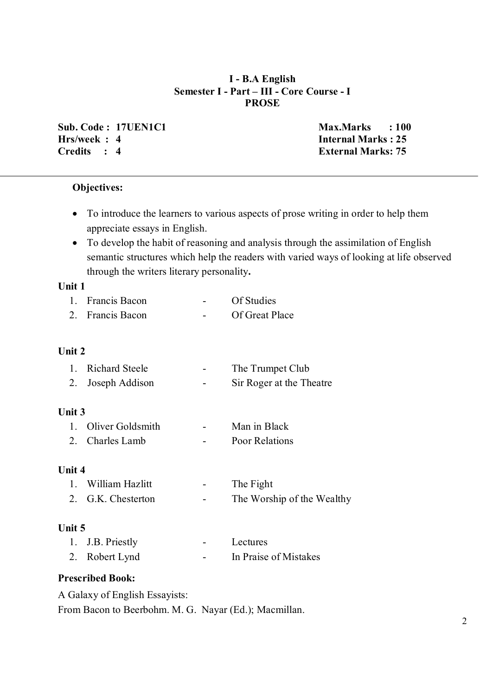### **I - B.A English Semester I - Part – III - Core Course - I PROSE**

**Sub. Code : 17UEN1C1 Max.Marks : 100 Hrs/week : 4 Internal Marks : 25 Credits : 4 External Marks: 75** 

## **Objectives:**

- To introduce the learners to various aspects of prose writing in order to help them appreciate essays in English.
- To develop the habit of reasoning and analysis through the assimilation of English semantic structures which help the readers with varied ways of looking at life observed through the writers literary personality**.**

### **Unit 1**

- 1. Francis Bacon Of Studies
- 2. Francis Bacon Of Great Place

### **Unit 2**

| 1. Richard Steele | $\sim$ | The Trumpet Club         |
|-------------------|--------|--------------------------|
| 2. Joseph Addison | $\sim$ | Sir Roger at the Theatre |

### **Unit 3**

| 1. Oliver Goldsmith | $\overline{\phantom{0}}$ | Man in Black          |
|---------------------|--------------------------|-----------------------|
| 2. Charles Lamb     | $\overline{\phantom{0}}$ | <b>Poor Relations</b> |

### **Unit 4**

| 1. William Hazlitt | $\sim$ | The Fight                  |
|--------------------|--------|----------------------------|
| 2. G.K. Chesterton | $\sim$ | The Worship of the Wealthy |

### **Unit 5**

| 1. J.B. Priestly | $\sim$ 100 $\mu$ | Lectures              |
|------------------|------------------|-----------------------|
| 2. Robert Lynd   | $\sim$ $\sim$    | In Praise of Mistakes |

### **Prescribed Book:**

A Galaxy of English Essayists:

From Bacon to Beerbohm. M. G. Nayar (Ed.); Macmillan.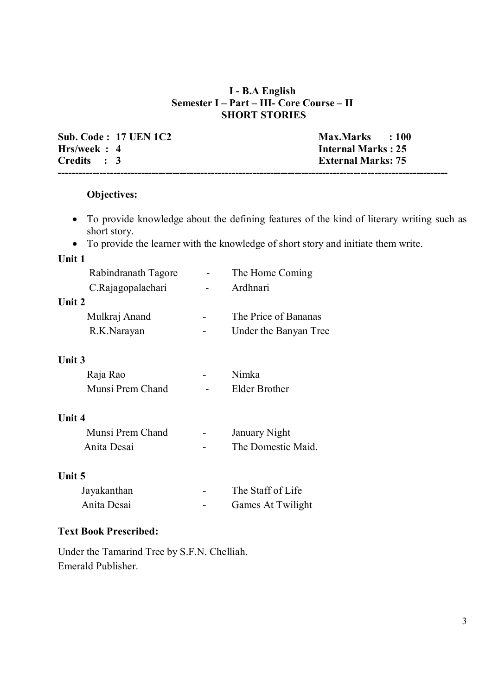### **I - B.A English Semester I – Part – III- Core Course – II SHORT STORIES**

**Sub. Code : 17 UEN 1C2 Max.Marks : 100**<br> **Hrs/week : 4 Internal Marks : 25 Hrs/week : 4**<br>Credits : 3 **Internal Marks : 25 External Marks: 75 ----------------------------------------------------------------------------------------------------------------**

#### **Objectives:**

- To provide knowledge about the defining features of the kind of literary writing such as short story.
- To provide the learner with the knowledge of short story and initiate them write.

### **Unit 1**

| Rabindranath Tagore | The Home Coming       |
|---------------------|-----------------------|
| C.Rajagopalachari   | Ardhnari              |
| Unit 2              |                       |
| Mulkraj Anand       | The Price of Bananas  |
| R.K.Narayan         | Under the Banyan Tree |
|                     |                       |

### **Unit 3**

| Raja Rao         | $\overline{\phantom{0}}$ | Nimka         |
|------------------|--------------------------|---------------|
| Munsi Prem Chand | $\sim$                   | Elder Brother |

#### **Unit 4**

| Munsi Prem Chand | $\overline{\phantom{0}}$ | <b>January Night</b> |
|------------------|--------------------------|----------------------|
| Anita Desai      | $\overline{\phantom{a}}$ | The Domestic Maid.   |

### **Unit 5**

| Jayakanthan | $\overline{\phantom{0}}$ | The Staff of Life |
|-------------|--------------------------|-------------------|
| Anita Desai | -                        | Games At Twilight |

### **Text Book Prescribed:**

Under the Tamarind Tree by S.F.N. Chelliah. Emerald Publisher.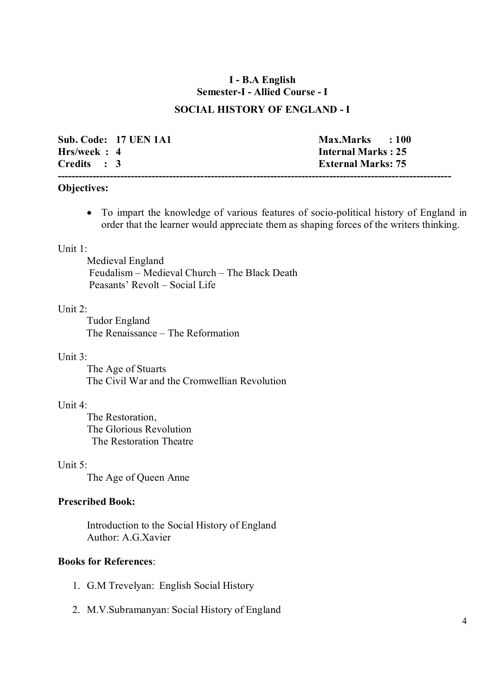### **I - B.A English Semester-I - Allied Course - I**

#### **SOCIAL HISTORY OF ENGLAND - I**

|             | <b>Sub. Code: 17 UEN 1A1</b> | Max.Marks : 100           |
|-------------|------------------------------|---------------------------|
| Hrs/week: 4 |                              | Internal Marks: 25        |
| Credits : 3 |                              | <b>External Marks: 75</b> |
|             |                              |                           |

#### **Objectives:**

 To impart the knowledge of various features of socio-political history of England in order that the learner would appreciate them as shaping forces of the writers thinking.

#### Unit 1:

Medieval England Feudalism – Medieval Church – The Black Death Peasants' Revolt – Social Life

#### Unit  $2$ .

Tudor England The Renaissance – The Reformation

#### Unit 3:

The Age of Stuarts The Civil War and the Cromwellian Revolution

#### Unit 4:

The Restoration, The Glorious Revolution The Restoration Theatre

#### Unit 5:

The Age of Queen Anne

#### **Prescribed Book:**

Introduction to the Social History of England Author: A.G.Xavier

### **Books for References**:

- 1. G.M Trevelyan: English Social History
- 2. M.V.Subramanyan: Social History of England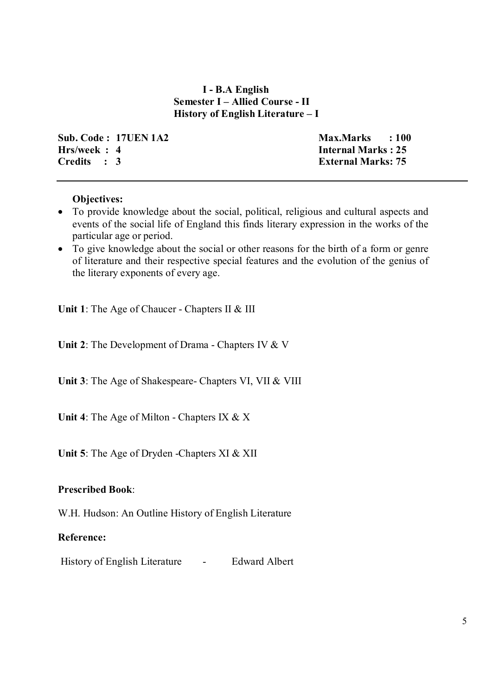### **I - B.A English Semester I – Allied Course - II History of English Literature – I**

**Sub. Code : 17UEN 1A2** Max.Marks : 100<br> **Hrs/week : 4** Internal Marks : 25 **Hrs/week : 4**<br>Credits : 3 **Internal Marks : 25** 

**External Marks: 75** 

### **Objectives:**

- To provide knowledge about the social, political, religious and cultural aspects and events of the social life of England this finds literary expression in the works of the particular age or period.
- To give knowledge about the social or other reasons for the birth of a form or genre of literature and their respective special features and the evolution of the genius of the literary exponents of every age.

**Unit 1**: The Age of Chaucer - Chapters II & III

**Unit 2**: The Development of Drama - Chapters IV & V

**Unit 3**: The Age of Shakespeare- Chapters VI, VII & VIII

**Unit 4**: The Age of Milton - Chapters IX & X

**Unit 5**: The Age of Dryden -Chapters XI & XII

### **Prescribed Book**:

W.H. Hudson: An Outline History of English Literature

#### **Reference:**

History of English Literature - Edward Albert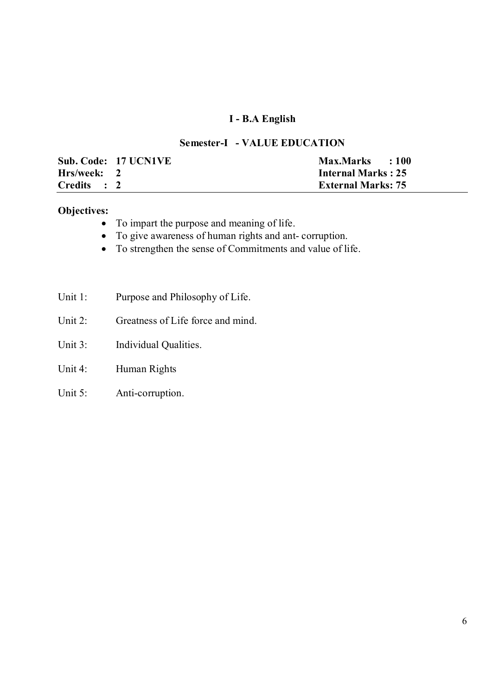## **I - B.A English**

### **Semester-I - VALUE EDUCATION**

|             | Sub. Code: 17 UCN1VE | Max.Marks : 100           |
|-------------|----------------------|---------------------------|
| Hrs/week: 2 |                      | <b>Internal Marks: 25</b> |
| Credits : 2 |                      | <b>External Marks: 75</b> |

## **Objectives:**

- To impart the purpose and meaning of life.
- To give awareness of human rights and ant- corruption.
- To strengthen the sense of Commitments and value of life.
- Unit 1: Purpose and Philosophy of Life.
- Unit 2: Greatness of Life force and mind.
- Unit 3: Individual Qualities.
- Unit 4: Human Rights
- Unit 5: Anti-corruption.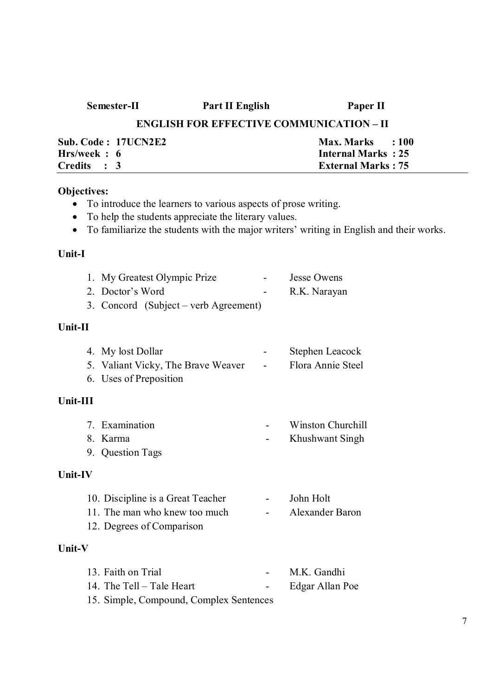| Semester-II                 | Part II English                                 | Paper II                       |
|-----------------------------|-------------------------------------------------|--------------------------------|
|                             | <b>ENGLISH FOR EFFECTIVE COMMUNICATION - II</b> |                                |
| <b>Sub. Code : 17UCN2E2</b> |                                                 | <b>Max. Marks</b><br>$\pm 100$ |
| Hrs/week : 6                |                                                 | <b>Internal Marks: 25</b>      |
| Credits : 3                 |                                                 | <b>External Marks: 75</b>      |

## **Objectives:**

- To introduce the learners to various aspects of prose writing.
- To help the students appreciate the literary values.
- To familiarize the students with the major writers' writing in English and their works.

## **Unit-I**

|         | 1. My Greatest Olympic Prize          | <b>Jesse Owens</b> |
|---------|---------------------------------------|--------------------|
|         | 2. Doctor's Word                      | R.K. Narayan       |
|         | 3. Concord (Subject – verb Agreement) |                    |
| Unit-II |                                       |                    |
|         | 4 My lost Dollar                      | Stephen Leacock    |

| 4. My lost Dollar                  | $\sim$ | Stephen Leacock   |
|------------------------------------|--------|-------------------|
| 5. Valiant Vicky, The Brave Weaver | $\sim$ | Flora Annie Steel |
| 6. Uses of Preposition             |        |                   |

### **Unit-III**

| 7. Examination                                                        | Winston Churchill |
|-----------------------------------------------------------------------|-------------------|
| 8. Karma                                                              | Khushwant Singh   |
| $\mathcal{L}$ $\mathcal{L}$ $\mathcal{L}$ $\mathcal{L}$ $\mathcal{L}$ |                   |

# 9. Question Tags

## **Unit-IV**

| 10. Discipline is a Great Teacher | John Holt       |
|-----------------------------------|-----------------|
| 11. The man who knew too much     | Alexander Baron |
| 12.5                              |                 |

### 12. Degrees of Comparison

### **Unit-V**

| 13. Faith on Trial                      | $\sim$ 10 $\sim$ | M.K. Gandhi     |
|-----------------------------------------|------------------|-----------------|
| 14. The Tell – Tale Heart               | $\sim$ 100 $\mu$ | Edgar Allan Poe |
| 15. Simple, Compound, Complex Sentences |                  |                 |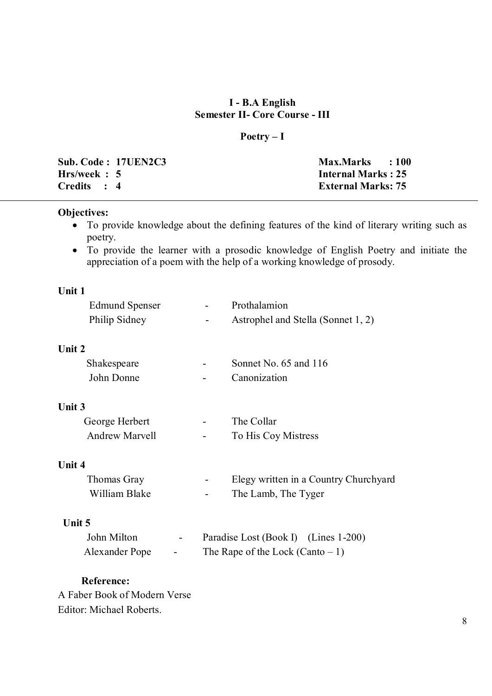## **I - B.A English Semester II- Core Course - III**

## **Poetry – I**

|              | <b>Sub. Code: 17UEN2C3</b> | Max.Marks : 100           |  |
|--------------|----------------------------|---------------------------|--|
| Hrs/week : 5 |                            | <b>Internal Marks: 25</b> |  |
| Credits : 4  |                            | <b>External Marks: 75</b> |  |

#### **Objectives:**

- To provide knowledge about the defining features of the kind of literary writing such as poetry.
- To provide the learner with a prosodic knowledge of English Poetry and initiate the appreciation of a poem with the help of a working knowledge of prosody.

## **Unit 1**

| <b>Edmund Spenser</b> | $\sim$ | Prothalamion                       |
|-----------------------|--------|------------------------------------|
| Philip Sidney         | -      | Astrophel and Stella (Sonnet 1, 2) |

#### **Unit 2**

| Shakespeare | $\overline{\phantom{a}}$ | Sonnet No. $65$ and $116$ |
|-------------|--------------------------|---------------------------|
| John Donne  | $\overline{\phantom{0}}$ | Canonization              |

#### **Unit 3**

| George Herbert        | $\overline{\phantom{0}}$ | The Collar          |
|-----------------------|--------------------------|---------------------|
| <b>Andrew Marvell</b> | $\overline{\phantom{0}}$ | To His Coy Mistress |

#### **Unit 4**

| Thomas Gray   | $\sim$ | Elegy written in a Country Churchyard |
|---------------|--------|---------------------------------------|
| William Blake | $\sim$ | The Lamb, The Tyger                   |

### **Unit 5**

| John Milton    | $\sim$ | Paradise Lost (Book I) (Lines 1-200) |  |
|----------------|--------|--------------------------------------|--|
| Alexander Pope | $\sim$ | The Rape of the Lock (Canto $-1$ )   |  |

### **Reference:**

A Faber Book of Modern Verse Editor: Michael Roberts.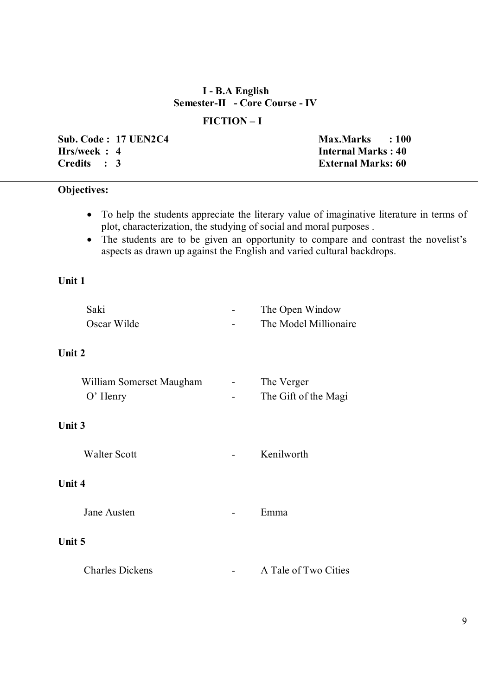### **I - B.A English Semester-II - Core Course - IV**

#### **FICTION – I**

**Sub. Code : 17 UEN2C4** Max.Marks : 100 **Hrs/week : 4**<br>Credits : 3 **Internal Marks : 40** 

**External Marks: 60** 

## **Objectives:**

- To help the students appreciate the literary value of imaginative literature in terms of plot, characterization, the studying of social and moral purposes .
- The students are to be given an opportunity to compare and contrast the novelist's aspects as drawn up against the English and varied cultural backdrops.

### **Unit 1**

| Saki                     | The Open Window       |
|--------------------------|-----------------------|
| Oscar Wilde              | The Model Millionaire |
| Unit 2                   |                       |
| William Somerset Maugham | The Verger            |
| $O'$ Henry               | The Gift of the Magi  |
| Unit 3                   |                       |
| <b>Walter Scott</b>      | Kenilworth            |
| Unit 4                   |                       |
| Jane Austen              | Emma                  |
| Unit 5                   |                       |
| <b>Charles Dickens</b>   | A Tale of Two Cities  |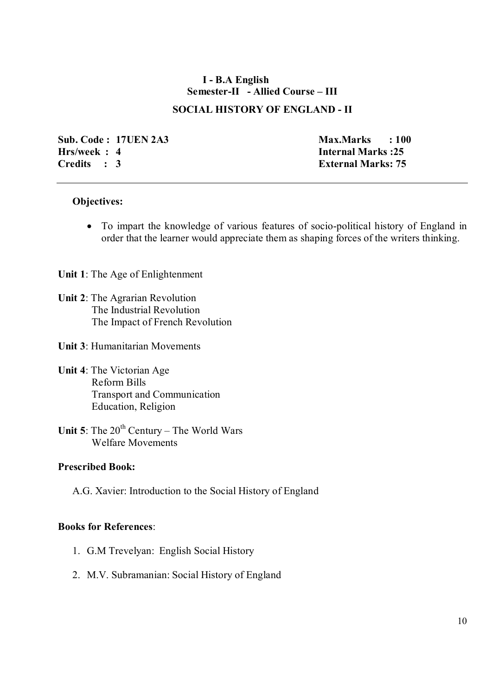### **I - B.A English Semester-II - Allied Course – III**

#### **SOCIAL HISTORY OF ENGLAND - II**

**Sub. Code : 17UEN 2A3 Max.Marks : 100 Hrs/week : 4 Internal Marks :25 Credits : 3 External Marks: 75**

#### **Objectives:**

 To impart the knowledge of various features of socio-political history of England in order that the learner would appreciate them as shaping forces of the writers thinking.

**Unit 1**: The Age of Enlightenment

- **Unit 2**: The Agrarian Revolution The Industrial Revolution The Impact of French Revolution
- **Unit 3**: Humanitarian Movements
- **Unit 4**: The Victorian Age Reform Bills Transport and Communication Education, Religion
- **Unit 5**: The  $20^{th}$  Century The World Wars Welfare Movements

#### **Prescribed Book:**

A.G. Xavier: Introduction to the Social History of England

#### **Books for References**:

- 1. G.M Trevelyan: English Social History
- 2. M.V. Subramanian: Social History of England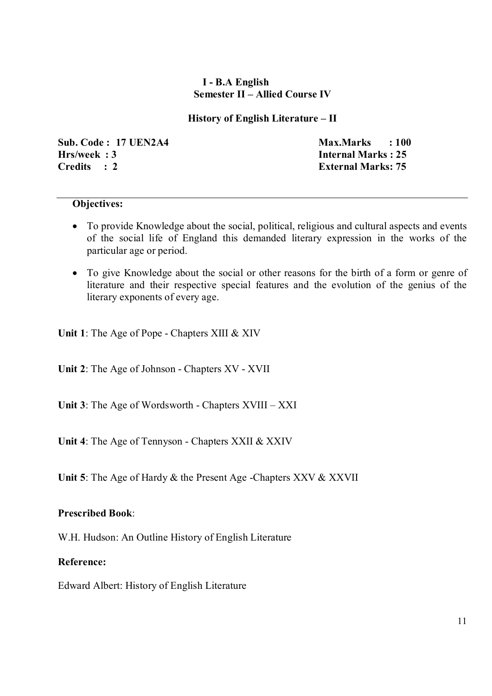### **I - B.A English Semester II – Allied Course IV**

### **History of English Literature – II**

**Sub. Code : 17 UEN2A4 Max.Marks : 100 Hrs/week : 3 Internal Marks : 25 Credits : 2 External Marks: 75**

### **Objectives:**

- To provide Knowledge about the social, political, religious and cultural aspects and events of the social life of England this demanded literary expression in the works of the particular age or period.
- To give Knowledge about the social or other reasons for the birth of a form or genre of literature and their respective special features and the evolution of the genius of the literary exponents of every age.

**Unit 1**: The Age of Pope - Chapters XIII & XIV

**Unit 2**: The Age of Johnson - Chapters XV - XVII

**Unit 3**: The Age of Wordsworth - Chapters XVIII – XXI

**Unit 4**: The Age of Tennyson - Chapters XXII & XXIV

**Unit 5**: The Age of Hardy & the Present Age -Chapters XXV & XXVII

### **Prescribed Book**:

W.H. Hudson: An Outline History of English Literature

### **Reference:**

Edward Albert: History of English Literature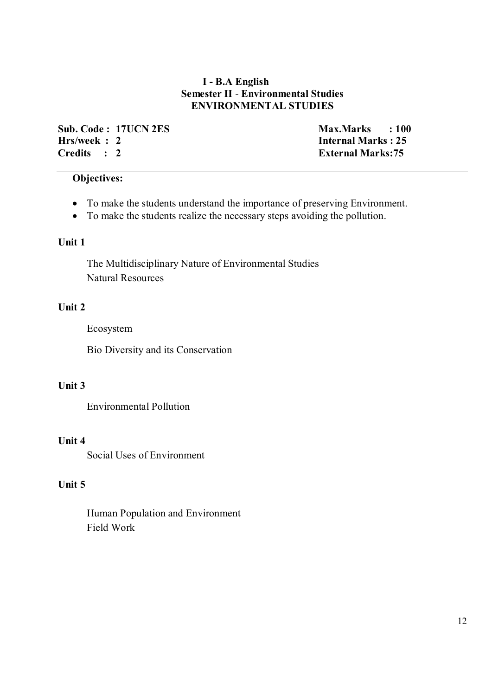### **I - B.A English Semester II** *-* **Environmental Studies ENVIRONMENTAL STUDIES**

**Sub. Code : 17UCN 2ES** Max.Marks : 100<br> **Hrs/week : 2** Internal Marks : 25 **Hrs/week : 2**<br>Credits : 2 **Internal Marks : 25** 

**External Marks:75** 

## **Objectives:**

- To make the students understand the importance of preserving Environment.
- To make the students realize the necessary steps avoiding the pollution.

### **Unit 1**

 The Multidisciplinary Nature of Environmental Studies Natural Resources

### **Unit 2**

Ecosystem

Bio Diversity and its Conservation

## **Unit 3**

Environmental Pollution

### **Unit 4**

Social Uses of Environment

## **Unit 5**

 Human Population and Environment Field Work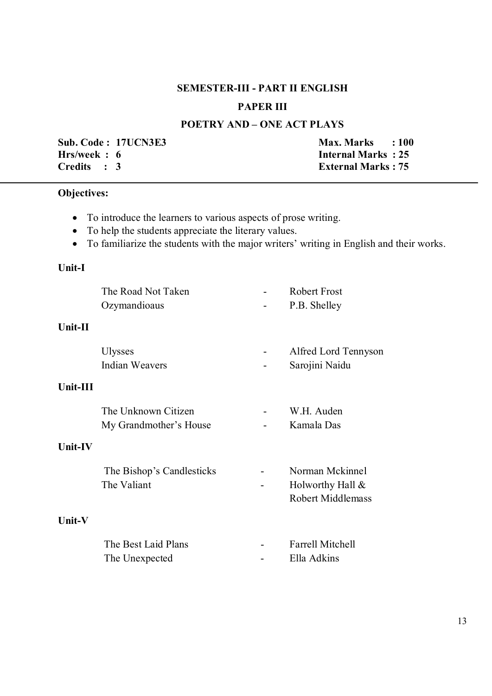## **SEMESTER-III - PART II ENGLISH**

## **PAPER III**

## **POETRY AND – ONE ACT PLAYS**

**Sub. Code : 17UCN3E3** Max. Marks : 100<br> **Hrs/week : 6 Max. Marks : 25 Hrs/week : 6 Internal Marks : 25<br>Credits : 3 External Marks : 75** 

**External Marks : 75** 

#### **Objectives:**

- To introduce the learners to various aspects of prose writing.
- To help the students appreciate the literary values.
- To familiarize the students with the major writers' writing in English and their works.

### **Unit-I**

| The Road Not Taken        | <b>Robert Frost</b>      |
|---------------------------|--------------------------|
| Ozymandioaus              | P.B. Shelley             |
|                           |                          |
| <b>Ulysses</b>            | Alfred Lord Tennyson     |
| <b>Indian Weavers</b>     | Sarojini Naidu           |
|                           |                          |
| The Unknown Citizen       | W.H. Auden               |
| My Grandmother's House    | Kamala Das               |
|                           |                          |
| The Bishop's Candlesticks | Norman Mckinnel          |
| The Valiant               | Holworthy Hall $\&$      |
|                           | <b>Robert Middlemass</b> |
|                           |                          |
| The Best Laid Plans       | <b>Farrell Mitchell</b>  |
| The Unexpected            | Ella Adkins              |
|                           |                          |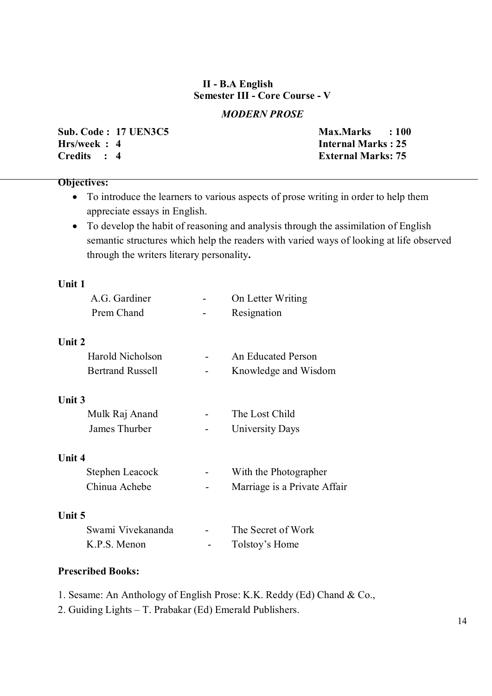## **II - B.A English Semester III - Core Course - V**

## *MODERN PROSE*

**Sub. Code : 17 UEN3C5 Max.Marks : 100 Hrs/week : 4**<br>Credits : 4 **Internal Marks : 25** 

**External Marks: 75** 

#### **Objectives:**

- To introduce the learners to various aspects of prose writing in order to help them appreciate essays in English.
- To develop the habit of reasoning and analysis through the assimilation of English semantic structures which help the readers with varied ways of looking at life observed through the writers literary personality**.**

#### **Unit 1**

| A.G. Gardiner           | On Letter Writing            |
|-------------------------|------------------------------|
| Prem Chand              | Resignation                  |
| Unit 2                  |                              |
| Harold Nicholson        | <b>An Educated Person</b>    |
| <b>Bertrand Russell</b> | Knowledge and Wisdom         |
| <b>Unit 3</b>           |                              |
| Mulk Raj Anand          | The Lost Child               |
| James Thurber           | University Days              |
| <b>Unit 4</b>           |                              |
| Stephen Leacock         | With the Photographer        |
| Chinua Achebe           | Marriage is a Private Affair |
| Unit 5                  |                              |
| Swami Vivekananda       | The Secret of Work           |

#### **Prescribed Books:**

- 1. Sesame: An Anthology of English Prose: K.K. Reddy (Ed) Chand & Co.,
- 2. Guiding Lights T. Prabakar (Ed) Emerald Publishers.

K.P.S. Menon - Tolstoy's Home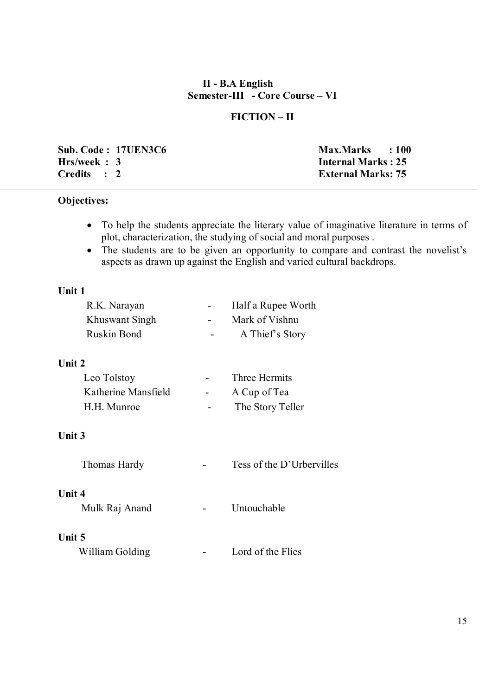### **II - B.A English Semester-III - Core Course – VI**

### **FICTION – II**

|             | Sub. Code: 17UEN3C6 | Max.Marks : 100           |  |
|-------------|---------------------|---------------------------|--|
| Hrs/week: 3 |                     | <b>Internal Marks: 25</b> |  |
| Credits : 2 |                     | <b>External Marks: 75</b> |  |

## **Objectives:**

- To help the students appreciate the literary value of imaginative literature in terms of plot, characterization, the studying of social and moral purposes .
- The students are to be given an opportunity to compare and contrast the novelist's aspects as drawn up against the English and varied cultural backdrops.

#### **Unit 1**

| R.K. Narayan       | $\sim$ 10 $\pm$ | Half a Rupee Worth |
|--------------------|-----------------|--------------------|
| Khuswant Singh     | $\sim$ 10 $\,$  | Mark of Vishnu     |
| <b>Ruskin Bond</b> | $\sim$          | A Thief's Story    |

#### **Unit 2**

| Leo Tolstoy         | $\sim$ | Three Hermits    |
|---------------------|--------|------------------|
| Katherine Mansfield | $\sim$ | A Cup of Tea     |
| H.H. Munroe         |        | The Story Teller |

#### **Unit 3**

| Thomas Hardy |  | Tess of the D'Urbervilles |
|--------------|--|---------------------------|
|--------------|--|---------------------------|

### **Unit 4**

Mulk Raj Anand - Untouchable

### **Unit 5**

| William Golding |  | Lord of the Flies |
|-----------------|--|-------------------|
|-----------------|--|-------------------|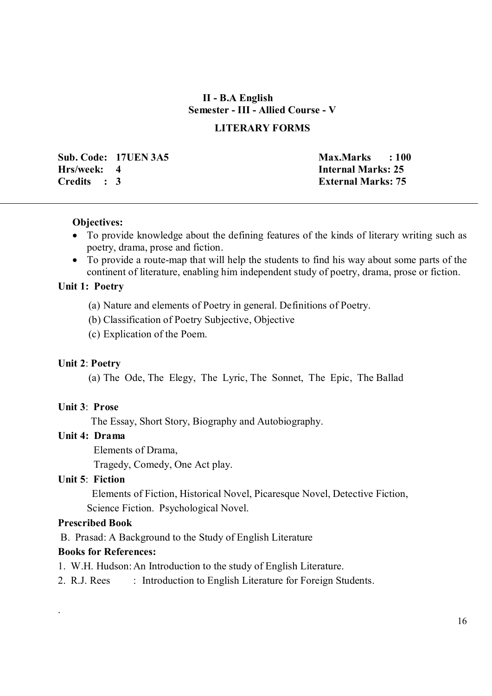## **II - B.A English Semester - III - Allied Course - V**

#### **LITERARY FORMS**

**Sub. Code: 17UEN 3A5 Max.Marks : 100 Hrs/week: 4 Internal Marks: 25 Credits : 3 External Marks: 75**

#### **Objectives:**

- To provide knowledge about the defining features of the kinds of literary writing such as poetry, drama, prose and fiction.
- To provide a route-map that will help the students to find his way about some parts of the continent of literature, enabling him independent study of poetry, drama, prose or fiction.

### **Unit 1: Poetry**

- (a) Nature and elements of Poetry in general. Definitions of Poetry.
- (b) Classification of Poetry Subjective, Objective
- (c) Explication of the Poem.

#### **Unit 2**: **Poetry**

(a) The Ode, The Elegy, The Lyric, The Sonnet, The Epic, The Ballad

#### **Unit 3**: **Prose**

The Essay, Short Story, Biography and Autobiography.

#### **Unit 4: Drama**

Elements of Drama,

Tragedy, Comedy, One Act play.

#### **Unit 5**: **Fiction**

 Elements of Fiction, Historical Novel, Picaresque Novel, Detective Fiction, Science Fiction. Psychological Novel.

#### **Prescribed Book**

.

B. Prasad: A Background to the Study of English Literature

### **Books for References:**

- 1. W.H. Hudson: An Introduction to the study of English Literature.
- 2. R.J. Rees : Introduction to English Literature for Foreign Students.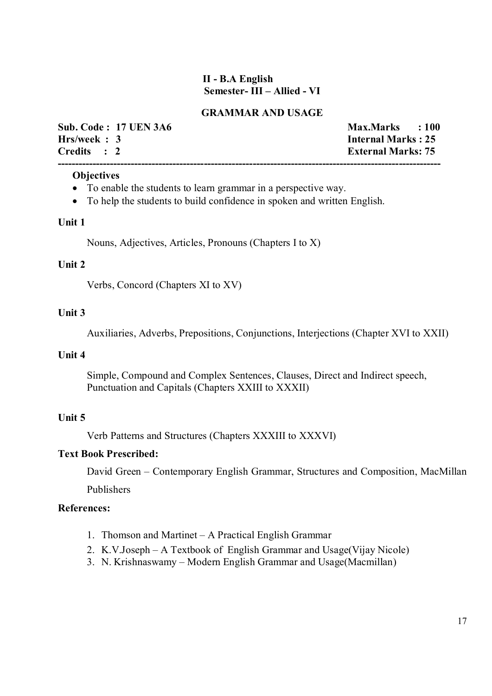### **II - B.A English Semester- III – Allied - VI**

### **GRAMMAR AND USAGE**

| <b>Sub. Code: 17 UEN 3A6</b> | Max.Marks : 100           |  |
|------------------------------|---------------------------|--|
| Hrs/week: 3                  | <b>Internal Marks: 25</b> |  |
| Credits : 2                  | <b>External Marks: 75</b> |  |
|                              |                           |  |

#### **Objectives**

- To enable the students to learn grammar in a perspective way.
- To help the students to build confidence in spoken and written English.

#### **Unit 1**

Nouns, Adjectives, Articles, Pronouns (Chapters I to X)

#### **Unit 2**

Verbs, Concord (Chapters XI to XV)

#### **Unit 3**

Auxiliaries, Adverbs, Prepositions, Conjunctions, Interjections (Chapter XVI to XXII)

#### **Unit 4**

Simple, Compound and Complex Sentences, Clauses, Direct and Indirect speech, Punctuation and Capitals (Chapters XXIII to XXXII)

#### **Unit 5**

Verb Patterns and Structures (Chapters XXXIII to XXXVI)

#### **Text Book Prescribed:**

David Green – Contemporary English Grammar, Structures and Composition, MacMillan

Publishers

#### **References:**

- 1. Thomson and Martinet A Practical English Grammar
- 2. K.V.Joseph A Textbook of English Grammar and Usage(Vijay Nicole)
- 3. N. Krishnaswamy Modern English Grammar and Usage(Macmillan)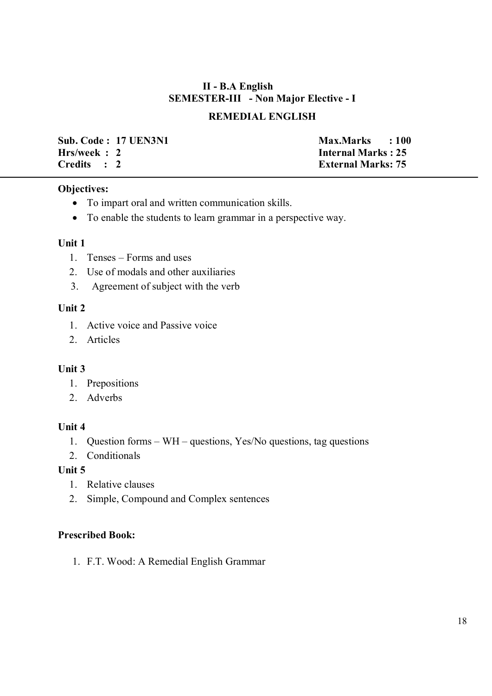## **II - B.A English SEMESTER-III - Non Major Elective - I**

## **REMEDIAL ENGLISH**

**Sub. Code : 17 UEN3N1 Max.Marks : 100 Hrs/week : 2**<br>Credits : 2 **Internal Marks : 25** 

**External Marks: 75** 

### **Objectives:**

- To impart oral and written communication skills.
- To enable the students to learn grammar in a perspective way.

### **Unit 1**

- 1. Tenses Forms and uses
- 2. Use of modals and other auxiliaries
- 3. Agreement of subject with the verb

### **Unit 2**

- 1. Active voice and Passive voice
- 2. Articles

### **Unit 3**

- 1. Prepositions
- 2. Adverbs

### **Unit 4**

- 1. Question forms WH questions, Yes/No questions, tag questions
- 2. Conditionals

### **Unit 5**

- 1. Relative clauses
- 2. Simple, Compound and Complex sentences

### **Prescribed Book:**

1. F.T. Wood: A Remedial English Grammar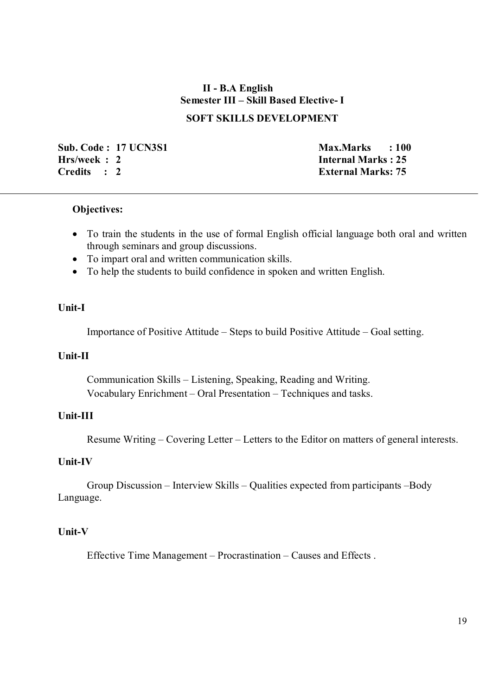## **II - B.A English Semester III – Skill Based Elective- I SOFT SKILLS DEVELOPMENT**

**Sub. Code : 17 UCN3S1** Max.Marks : 100<br> **Hrs/week : 2 Max.Marks : 25 Hrs/week : 2**<br>Credits : 2 **Internal Marks : 25** 

**External Marks: 75** 

#### **Objectives:**

- To train the students in the use of formal English official language both oral and written through seminars and group discussions.
- To impart oral and written communication skills.
- To help the students to build confidence in spoken and written English.

#### **Unit-I**

Importance of Positive Attitude – Steps to build Positive Attitude – Goal setting.

#### **Unit-II**

Communication Skills – Listening, Speaking, Reading and Writing. Vocabulary Enrichment – Oral Presentation – Techniques and tasks.

### **Unit-III**

Resume Writing – Covering Letter – Letters to the Editor on matters of general interests.

#### **Unit-IV**

 Group Discussion – Interview Skills – Qualities expected from participants –Body Language.

#### **Unit-V**

Effective Time Management – Procrastination – Causes and Effects .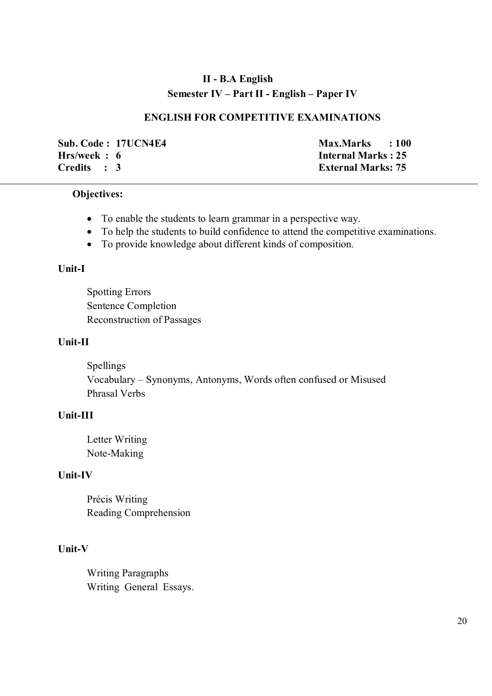## **II - B.A English Semester IV – Part II - English – Paper IV**

### **ENGLISH FOR COMPETITIVE EXAMINATIONS**

**Sub. Code : 17UCN4E4** Max.Marks : 100<br> **Hrs/week : 6 Max.Marks : 25 Credits : 3 External Marks: 75**

**Internal Marks : 25** 

#### **Objectives:**

- To enable the students to learn grammar in a perspective way.
- To help the students to build confidence to attend the competitive examinations.
- To provide knowledge about different kinds of composition.

### **Unit-I**

Spotting Errors Sentence Completion Reconstruction of Passages

#### **Unit-II**

Spellings Vocabulary – Synonyms, Antonyms, Words often confused or Misused Phrasal Verbs

## **Unit-III**

Letter Writing Note-Making

#### **Unit-IV**

Précis Writing Reading Comprehension

### **Unit-V**

Writing Paragraphs Writing General Essays.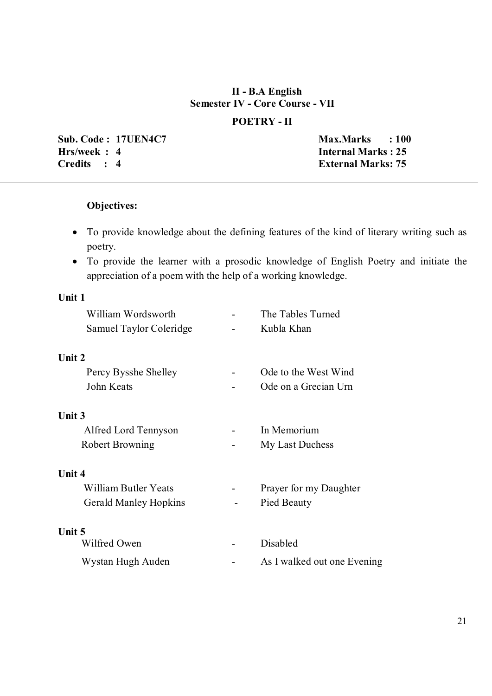### **II - B.A English Semester IV - Core Course - VII**

### **POETRY - II**

**Sub. Code : 17UEN4C7** Max.Marks : 100 **Hrs/week : 4 Internal Marks : 25 Credits : 4 External Marks: 75**

## **Objectives:**

- To provide knowledge about the defining features of the kind of literary writing such as poetry.
- To provide the learner with a prosodic knowledge of English Poetry and initiate the appreciation of a poem with the help of a working knowledge.

## **Unit 1**

| William Wordsworth           | The Tables Turned           |
|------------------------------|-----------------------------|
| Samuel Taylor Coleridge      | Kubla Khan                  |
| Unit 2                       |                             |
| Percy Bysshe Shelley         | Ode to the West Wind        |
| John Keats                   | Ode on a Grecian Urn        |
| <b>Unit 3</b>                |                             |
| Alfred Lord Tennyson         | In Memorium                 |
| <b>Robert Browning</b>       | My Last Duchess             |
| Unit 4                       |                             |
| William Butler Yeats         | Prayer for my Daughter      |
| <b>Gerald Manley Hopkins</b> | Pied Beauty                 |
| Unit 5                       |                             |
| Wilfred Owen                 | Disabled                    |
| Wystan Hugh Auden            | As I walked out one Evening |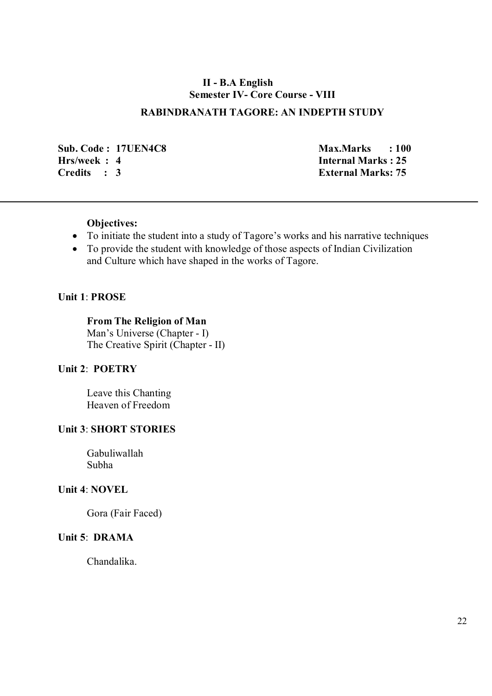### **II - B.A English Semester IV- Core Course - VIII**

### **RABINDRANATH TAGORE: AN INDEPTH STUDY**

**Sub. Code : 17UEN4C8** Max.Marks : 100 **Hrs/week : 4**<br>Credits : 3 **Internal Marks : 25** 

**External Marks: 75** 

#### **Objectives:**

- To initiate the student into a study of Tagore's works and his narrative techniques
- To provide the student with knowledge of those aspects of Indian Civilization and Culture which have shaped in the works of Tagore.

#### **Unit 1**: **PROSE**

**From The Religion of Man**  Man's Universe (Chapter - I) The Creative Spirit (Chapter - II)

### **Unit 2**: **POETRY**

Leave this Chanting Heaven of Freedom

#### **Unit 3**: **SHORT STORIES**

Gabuliwallah Subha

#### **Unit 4**: **NOVEL**

Gora (Fair Faced)

### **Unit 5**: **DRAMA**

Chandalika.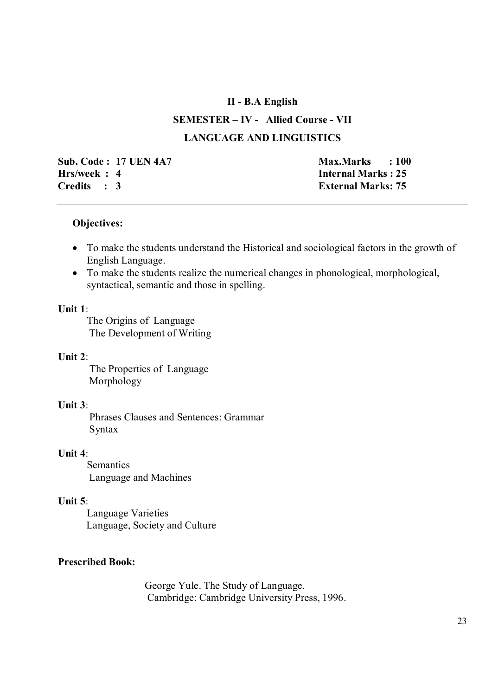#### **II - B.A English**

## **SEMESTER – IV - Allied Course - VII LANGUAGE AND LINGUISTICS**

**Sub. Code : 17 UEN 4A7 Max.Marks** : 100 **Hrs/week : 4**<br>Credits : 3 **Internal Marks : 25** 

**External Marks: 75** 

#### **Objectives:**

- To make the students understand the Historical and sociological factors in the growth of English Language.
- To make the students realize the numerical changes in phonological, morphological, syntactical, semantic and those in spelling.

#### **Unit 1**:

The Origins of Language The Development of Writing

### **Unit 2**:

 The Properties of Language Morphology

### **Unit 3**:

 Phrases Clauses and Sentences: Grammar Syntax

### **Unit 4**:

**Semantics** Language and Machines

### **Unit 5**:

Language Varieties Language, Society and Culture

### **Prescribed Book:**

George Yule. The Study of Language. Cambridge: Cambridge University Press, 1996.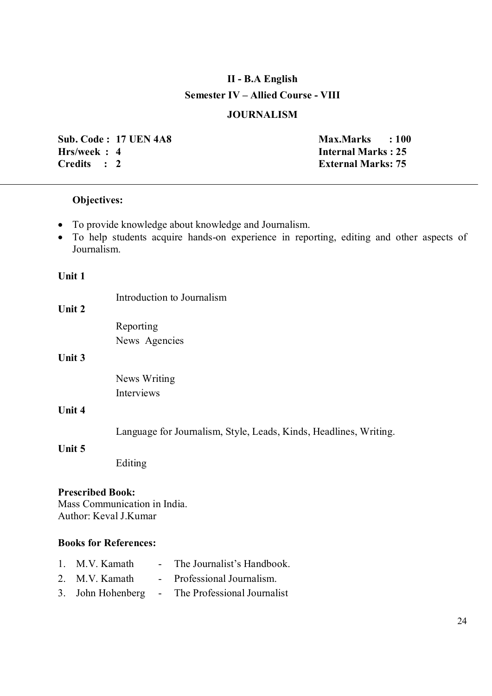# **II - B.A English Semester IV – Allied Course - VIII**

## **JOURNALISM**

**Sub. Code : 17 UEN 4A8** Max.Marks : 100 **Hrs/week : 4 Internal Marks : 25 Credits : 2 External Marks: 75**

## **Objectives:**

- To provide knowledge about knowledge and Journalism.
- To help students acquire hands-on experience in reporting, editing and other aspects of Journalism.

#### **Unit 1**

|                                                  | Introduction to Journalism                                        |
|--------------------------------------------------|-------------------------------------------------------------------|
| Unit 2                                           |                                                                   |
|                                                  | Reporting                                                         |
|                                                  | News Agencies                                                     |
| Unit 3                                           |                                                                   |
|                                                  | News Writing                                                      |
|                                                  | Interviews                                                        |
| Unit 4                                           |                                                                   |
|                                                  | Language for Journalism, Style, Leads, Kinds, Headlines, Writing. |
| Unit 5                                           |                                                                   |
|                                                  | Editing                                                           |
| <b>Prescribed Book:</b><br>Author: Keval J.Kumar | Mass Communication in India.                                      |
| <b>Books for References:</b>                     |                                                                   |
| 1. M.V. Kamath                                   | The Journalist's Handbook.<br>$\sim 100$                          |

- 2. M.V. Kamath Professional Journalism.
- 3. John Hohenberg The Professional Journalist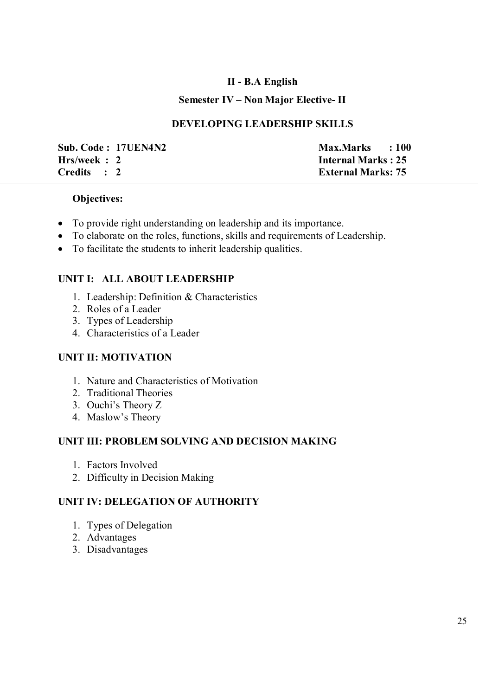## **II - B.A English**

### **Semester IV – Non Major Elective- II**

### **DEVELOPING LEADERSHIP SKILLS**

| Sub. Code: 17UEN4N2 |  |
|---------------------|--|
| Hrs/week: 2         |  |
| Credits : 2         |  |

**Max.Marks : 100 Internal Marks : 25 External Marks: 75** 

### **Objectives:**

- To provide right understanding on leadership and its importance.
- To elaborate on the roles, functions, skills and requirements of Leadership.
- To facilitate the students to inherit leadership qualities.

## **UNIT I: ALL ABOUT LEADERSHIP**

- 1. Leadership: Definition & Characteristics
- 2. Roles of a Leader
- 3. Types of Leadership
- 4. Characteristics of a Leader

## **UNIT II: MOTIVATION**

- 1. Nature and Characteristics of Motivation
- 2. Traditional Theories
- 3. Ouchi's Theory Z
- 4. Maslow's Theory

## **UNIT III: PROBLEM SOLVING AND DECISION MAKING**

- 1. Factors Involved
- 2. Difficulty in Decision Making

## **UNIT IV: DELEGATION OF AUTHORITY**

- 1. Types of Delegation
- 2. Advantages
- 3. Disadvantages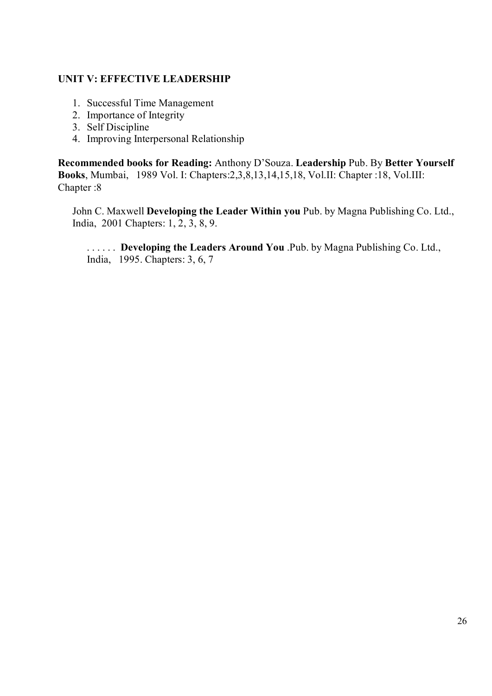## **UNIT V: EFFECTIVE LEADERSHIP**

- 1. Successful Time Management
- 2. Importance of Integrity
- 3. Self Discipline
- 4. Improving Interpersonal Relationship

**Recommended books for Reading:** Anthony D'Souza. **Leadership** Pub. By **Better Yourself Books**, Mumbai, 1989 Vol. I: Chapters:2,3,8,13,14,15,18, Vol.II: Chapter :18, Vol.III: Chapter :8

John C. Maxwell **Developing the Leader Within you** Pub. by Magna Publishing Co. Ltd., India, 2001 Chapters: 1, 2, 3, 8, 9.

. . . . . . **Developing the Leaders Around You** .Pub. by Magna Publishing Co. Ltd., India, 1995. Chapters: 3, 6, 7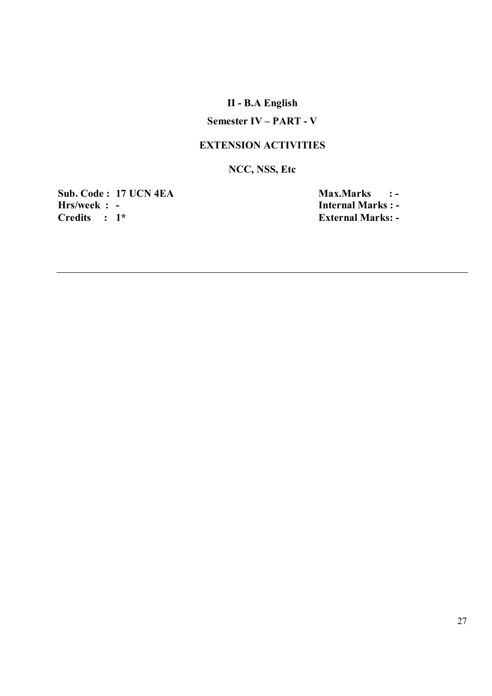# **II - B.A English**

## **Semester IV – PART - V**

## **EXTENSION ACTIVITIES**

## **NCC, NSS, Etc**

**Sub. Code : 17 UCN 4EA Max.Marks : - Hrs/week : - Internal Marks : - Internal Marks : - Properties : 1\* External Marks : - Properties : 1\*** 

**External Marks: -**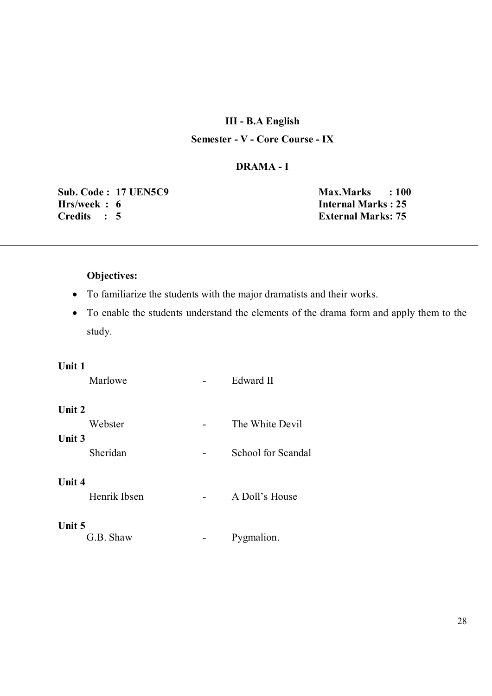### **III - B.A English**

## **Semester - V - Core Course - IX**

#### **DRAMA - I**

**Sub. Code : 17 UEN5C9** Max.Marks : 100<br> **Hrs/week : 6** Internal Marks : 25 **Credits : 5 External Marks: 75**

**Internal Marks : 25** 

### **Objectives:**

- To familiarize the students with the major dramatists and their works.
- To enable the students understand the elements of the drama form and apply them to the study.

#### **Unit 1**

| Marlowe                | Edward II          |
|------------------------|--------------------|
| Unit 2                 |                    |
| Webster                | The White Devil    |
| Unit 3<br>Sheridan     | School for Scandal |
| Unit 4<br>Henrik Ibsen | A Doll's House     |
| Unit 5<br>G.B. Shaw    | Pygmalion.         |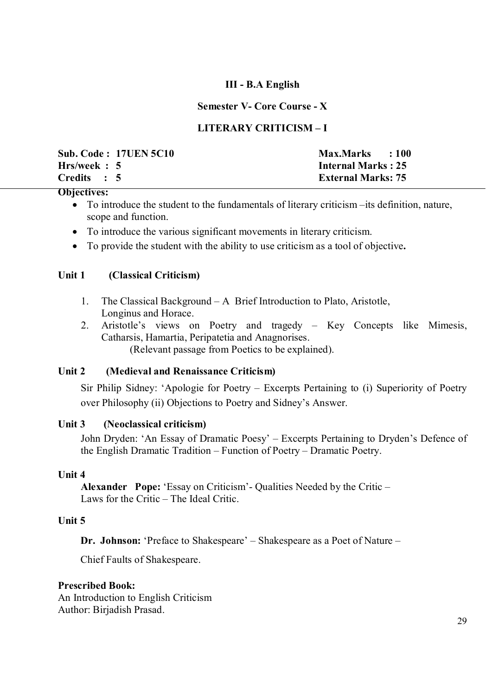### **III - B.A English**

### **Semester V- Core Course - X**

### **LITERARY CRITICISM – I**

|              | <b>Sub. Code: 17UEN 5C10</b> | Max.Marks : 100           |  |
|--------------|------------------------------|---------------------------|--|
| Hrs/week : 5 |                              | <b>Internal Marks: 25</b> |  |
| Credits : 5  |                              | <b>External Marks: 75</b> |  |

#### **Objectives:**

- To introduce the student to the fundamentals of literary criticism –its definition, nature, scope and function.
- To introduce the various significant movements in literary criticism.
- To provide the student with the ability to use criticism as a tool of objective**.**

### **Unit 1 (Classical Criticism)**

- 1. The Classical Background A Brief Introduction to Plato, Aristotle, Longinus and Horace.
- 2. Aristotle's views on Poetry and tragedy Key Concepts like Mimesis, Catharsis, Hamartia, Peripatetia and Anagnorises. (Relevant passage from Poetics to be explained).

### **Unit 2 (Medieval and Renaissance Criticism)**

 Sir Philip Sidney: 'Apologie for Poetry – Excerpts Pertaining to (i) Superiority of Poetry over Philosophy (ii) Objections to Poetry and Sidney's Answer.

### **Unit 3 (Neoclassical criticism)**

 John Dryden: 'An Essay of Dramatic Poesy' – Excerpts Pertaining to Dryden's Defence of the English Dramatic Tradition – Function of Poetry – Dramatic Poetry.

### **Unit 4**

**Alexander Pope:** 'Essay on Criticism'- Qualities Needed by the Critic – Laws for the Critic – The Ideal Critic.

### **Unit 5**

**Dr. Johnson:** 'Preface to Shakespeare' – Shakespeare as a Poet of Nature –

Chief Faults of Shakespeare.

#### **Prescribed Book:**

An Introduction to English Criticism Author: Birjadish Prasad.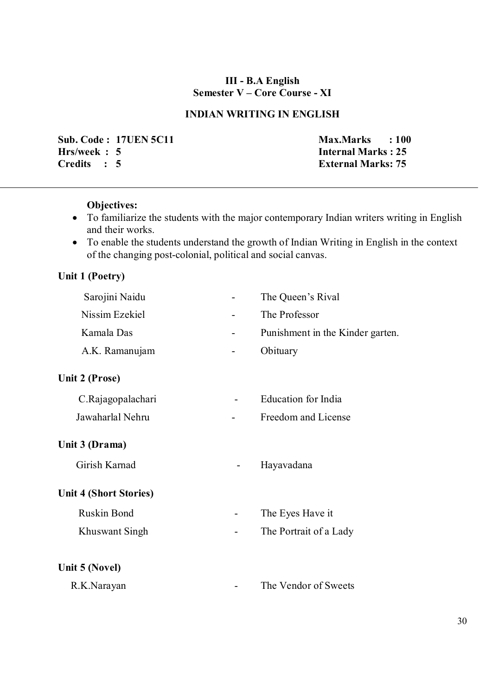### **III - B.A English Semester V – Core Course - XI**

## **INDIAN WRITING IN ENGLISH**

**Sub. Code : 17UEN 5C11 Max.Marks** : 100 **Hrs/week : 5 Internal Marks : 25<br>Credits : 5 External Marks: 75** 

**External Marks: 75** 

## **Objectives:**

- To familiarize the students with the major contemporary Indian writers writing in English and their works.
- To enable the students understand the growth of Indian Writing in English in the context of the changing post-colonial, political and social canvas.

## **Unit 1 (Poetry)**

 $\overline{a}$ 

| Sarojini Naidu                |                              | The Queen's Rival                |
|-------------------------------|------------------------------|----------------------------------|
| Nissim Ezekiel                |                              | The Professor                    |
| Kamala Das                    | $\qquad \qquad \blacksquare$ | Punishment in the Kinder garten. |
| A.K. Ramanujam                | $\blacksquare$               | Obituary                         |
| Unit 2 (Prose)                |                              |                                  |
| C.Rajagopalachari             |                              | Education for India              |
| Jawaharlal Nehru              |                              | Freedom and License              |
| Unit 3 (Drama)                |                              |                                  |
| Girish Karnad                 |                              | Hayavadana                       |
| <b>Unit 4 (Short Stories)</b> |                              |                                  |
| <b>Ruskin Bond</b>            |                              | The Eyes Have it                 |
| Khuswant Singh                |                              | The Portrait of a Lady           |
| Unit 5 (Novel)                |                              |                                  |
| R.K.Narayan                   |                              | The Vendor of Sweets             |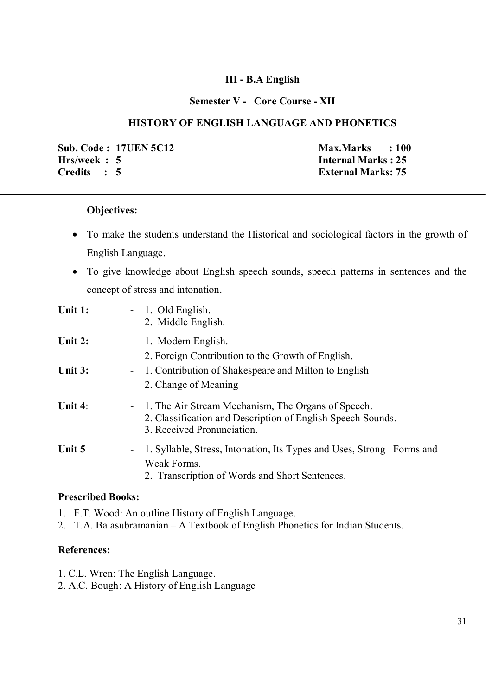### **III - B.A English**

#### **Semester V - Core Course - XII**

### **HISTORY OF ENGLISH LANGUAGE AND PHONETICS**

**Sub. Code : 17UEN 5C12** Max.Marks : 100<br> **Hrs/week : 5 Max.Marks : 25 Credits : 5 External Marks: 75**

**Internal Marks : 25** 

#### **Objectives:**

- To make the students understand the Historical and sociological factors in the growth of English Language.
- To give knowledge about English speech sounds, speech patterns in sentences and the concept of stress and intonation.

| Unit 1:    | - 1. Old English.<br>2. Middle English.                                                                                                           |
|------------|---------------------------------------------------------------------------------------------------------------------------------------------------|
| Unit 2:    | - 1. Modern English.<br>2. Foreign Contribution to the Growth of English.                                                                         |
| Unit 3:    | - 1. Contribution of Shakespeare and Milton to English<br>2. Change of Meaning                                                                    |
| Unit $4$ : | - 1. The Air Stream Mechanism, The Organs of Speech.<br>2. Classification and Description of English Speech Sounds.<br>3. Received Pronunciation. |
| Unit 5     | 1. Syllable, Stress, Intonation, Its Types and Uses, Strong Forms and<br>$\sim$<br>Weak Forms.<br>2. Transcription of Words and Short Sentences.  |

#### **Prescribed Books:**

- 1. F.T. Wood: An outline History of English Language.
- 2. T.A. Balasubramanian A Textbook of English Phonetics for Indian Students.

#### **References:**

- 1. C.L. Wren: The English Language.
- 2. A.C. Bough: A History of English Language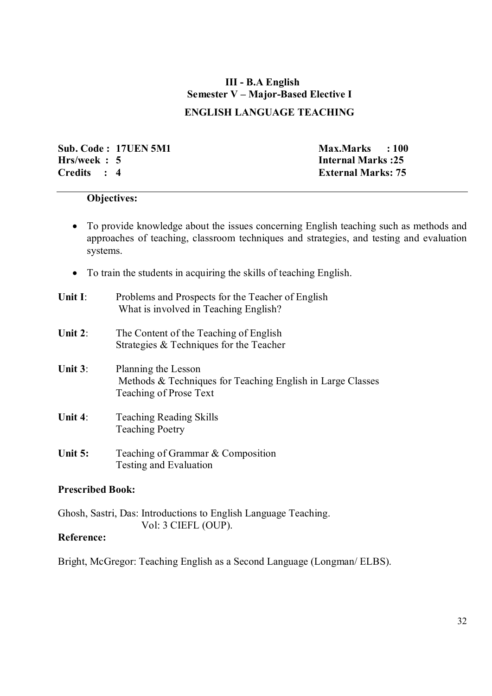# **III - B.A English Semester V – Major-Based Elective I**

## **ENGLISH LANGUAGE TEACHING**

**Sub. Code : 17UEN 5M1** Max.Marks : 100<br> **Hrs/week : 5** Internal Marks : 25 **Credits : 4 External Marks: 75** 

**Internal Marks : 25** 

### **Objectives:**

- To provide knowledge about the issues concerning English teaching such as methods and approaches of teaching, classroom techniques and strategies, and testing and evaluation systems.
- To train the students in acquiring the skills of teaching English.

- **Unit 2**: The Content of the Teaching of English Strategies & Techniques for the Teacher
- **Unit 3**: Planning the Lesson Methods & Techniques for Teaching English in Large Classes Teaching of Prose Text
- **Unit 4**: Teaching Reading Skills Teaching Poetry
- Unit 5: Teaching of Grammar & Composition Testing and Evaluation

### **Prescribed Book:**

Ghosh, Sastri, Das: Introductions to English Language Teaching. Vol: 3 CIEFL (OUP).

### **Reference:**

Bright, McGregor: Teaching English as a Second Language (Longman/ ELBS).

**Unit I**: Problems and Prospects for the Teacher of English What is involved in Teaching English?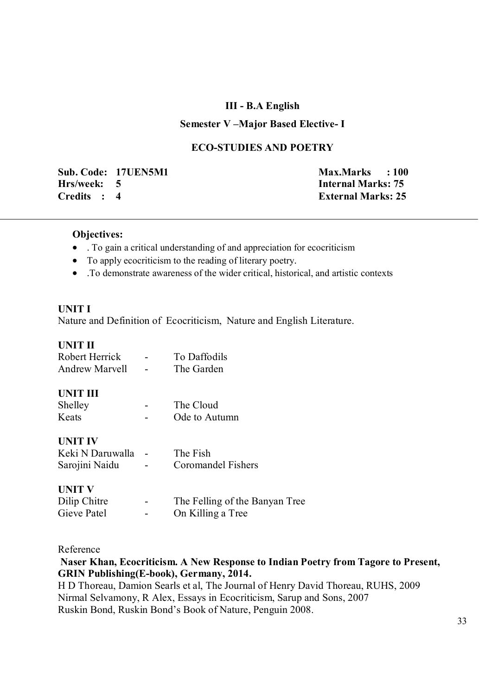#### **III - B.A English**

#### **Semester V –Major Based Elective- I**

#### **ECO-STUDIES AND POETRY**

**Sub. Code: 17UEN5M1 Max.Marks : 100 Hrs/week: 5 Internal Marks: 75 Credits : 4 External Marks: 25**

#### **Objectives:**

- . To gain a critical understanding of and appreciation for ecocriticism
- To apply ecocriticism to the reading of literary poetry.
- .To demonstrate awareness of the wider critical, historical, and artistic contexts

#### **UNIT I**

Nature and Definition of Ecocriticism, Nature and English Literature.

#### **UNIT II**

| Robert Herrick        | To Daffodils                   |
|-----------------------|--------------------------------|
| <b>Andrew Marvell</b> | The Garden                     |
|                       |                                |
| <b>UNIT III</b>       |                                |
| Shelley               | The Cloud                      |
| Keats                 | Ode to Autumn                  |
|                       |                                |
| <b>UNIT IV</b>        |                                |
| Keki N Daruwalla      | The Fish                       |
| Sarojini Naidu        | Coromandel Fishers             |
|                       |                                |
| <b>UNIT V</b>         |                                |
| Dilip Chitre          | The Felling of the Banyan Tree |

Gieve Patel - On Killing a Tree

Reference

**Naser Khan, Ecocriticism. A New Response to Indian Poetry from Tagore to Present, GRIN Publishing(E-book), Germany, 2014.** 

H D Thoreau, Damion Searls et al, The Journal of Henry David Thoreau, RUHS, 2009 Nirmal Selvamony, R Alex, Essays in Ecocriticism, Sarup and Sons, 2007 Ruskin Bond, Ruskin Bond's Book of Nature, Penguin 2008.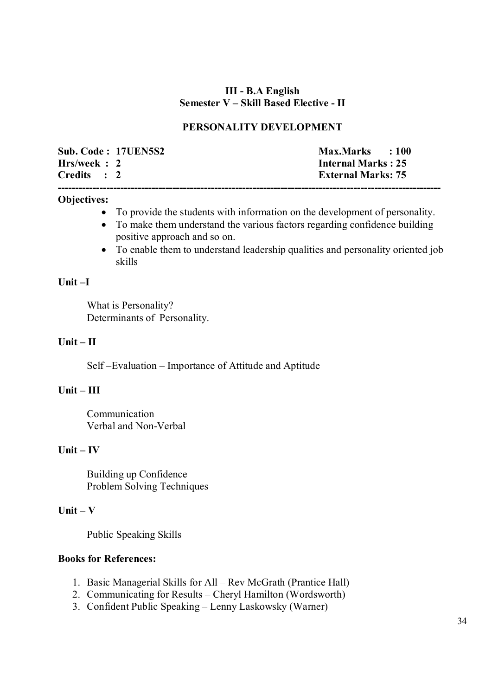### **III - B.A English Semester V – Skill Based Elective - II**

### **PERSONALITY DEVELOPMENT**

|             | Sub. Code: 17UEN5S2 | Max.Marks : 100           |
|-------------|---------------------|---------------------------|
| Hrs/week: 2 |                     | Internal Marks: 25        |
| Credits : 2 |                     | <b>External Marks: 75</b> |
|             |                     |                           |

#### **Objectives:**

- To provide the students with information on the development of personality.
- To make them understand the various factors regarding confidence building positive approach and so on.
- To enable them to understand leadership qualities and personality oriented job skills

### **Unit –I**

 What is Personality? Determinants of Personality.

#### **Unit – II**

Self –Evaluation – Importance of Attitude and Aptitude

### **Unit – III**

 Communication Verbal and Non-Verbal

#### **Unit – IV**

 Building up Confidence Problem Solving Techniques

#### **Unit – V**

Public Speaking Skills

### **Books for References:**

- 1. Basic Managerial Skills for All Rev McGrath (Prantice Hall)
- 2. Communicating for Results Cheryl Hamilton (Wordsworth)
- 3. Confident Public Speaking Lenny Laskowsky (Warner)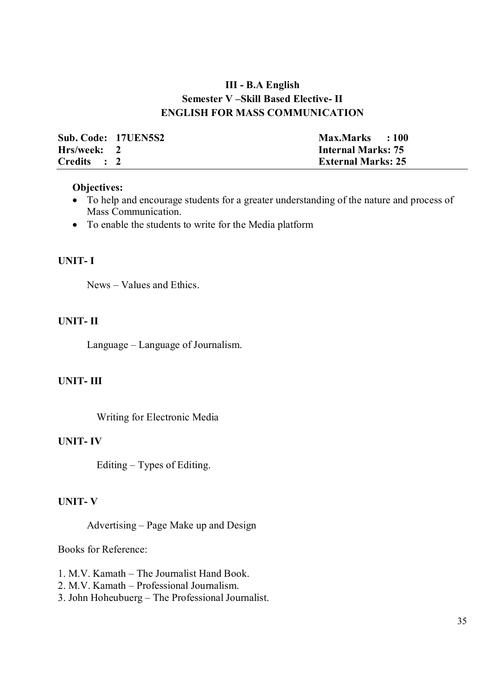## **III - B.A English Semester V –Skill Based Elective- II ENGLISH FOR MASS COMMUNICATION**

| Sub. Code: 17UEN5S2 | Max.Marks : 100           |
|---------------------|---------------------------|
| Hrs/week: 2         | <b>Internal Marks: 75</b> |
| Credits : 2         | <b>External Marks: 25</b> |

#### **Objectives:**

- To help and encourage students for a greater understanding of the nature and process of Mass Communication.
- To enable the students to write for the Media platform

#### **UNIT- I**

News – Values and Ethics.

#### **UNIT- II**

Language – Language of Journalism.

### **UNIT- III**

Writing for Electronic Media

#### **UNIT- IV**

Editing – Types of Editing.

#### **UNIT- V**

Advertising – Page Make up and Design

Books for Reference:

- 1. M.V. Kamath The Journalist Hand Book.
- 2. M.V. Kamath Professional Journalism.
- 3. John Hoheubuerg The Professional Journalist.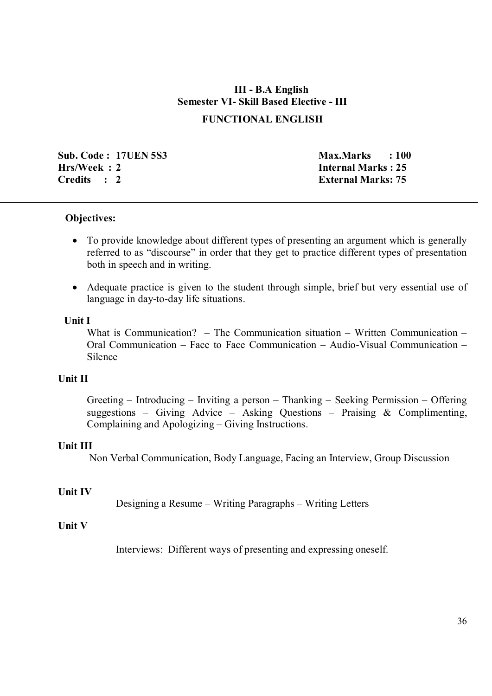# **III - B.A English Semester VI- Skill Based Elective - III**

### **FUNCTIONAL ENGLISH**

**Sub. Code : 17UEN 5S3** Max.Marks : 100 **Hrs/Week : 2 Internal Marks : 25 Credits : 2 External Marks: 75**

#### **Objectives:**

- To provide knowledge about different types of presenting an argument which is generally referred to as "discourse" in order that they get to practice different types of presentation both in speech and in writing.
- Adequate practice is given to the student through simple, brief but very essential use of language in day-to-day life situations.

#### **Unit I**

What is Communication? – The Communication situation – Written Communication – Oral Communication – Face to Face Communication – Audio-Visual Communication – Silence

### **Unit II**

 Greeting – Introducing – Inviting a person – Thanking – Seeking Permission – Offering suggestions – Giving Advice – Asking Questions – Praising  $\&$  Complimenting, Complaining and Apologizing – Giving Instructions.

#### **Unit III**

Non Verbal Communication, Body Language, Facing an Interview, Group Discussion

### **Unit IV**

Designing a Resume – Writing Paragraphs – Writing Letters

### **Unit V**

Interviews: Different ways of presenting and expressing oneself.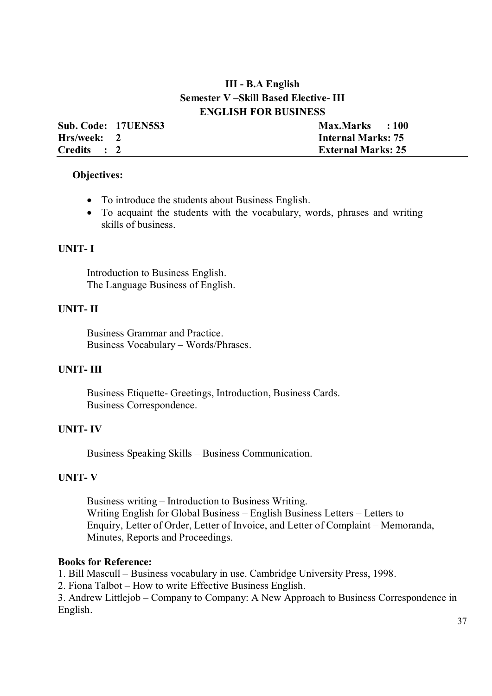## **III - B.A English Semester V –Skill Based Elective- III ENGLISH FOR BUSINESS**

|             | Sub. Code: 17UEN5S3 | Max.Marks : 100           |
|-------------|---------------------|---------------------------|
| Hrs/week: 2 |                     | <b>Internal Marks: 75</b> |
| Credits : 2 |                     | <b>External Marks: 25</b> |

#### **Objectives:**

- To introduce the students about Business English.
- To acquaint the students with the vocabulary, words, phrases and writing skills of business.

#### **UNIT- I**

Introduction to Business English. The Language Business of English.

#### **UNIT- II**

Business Grammar and Practice. Business Vocabulary – Words/Phrases.

#### **UNIT- III**

Business Etiquette- Greetings, Introduction, Business Cards. Business Correspondence.

#### **UNIT- IV**

Business Speaking Skills – Business Communication.

#### **UNIT- V**

Business writing – Introduction to Business Writing. Writing English for Global Business – English Business Letters – Letters to Enquiry, Letter of Order, Letter of Invoice, and Letter of Complaint – Memoranda, Minutes, Reports and Proceedings.

#### **Books for Reference:**

1. Bill Mascull – Business vocabulary in use. Cambridge University Press, 1998.

2. Fiona Talbot – How to write Effective Business English.

3. Andrew Littlejob – Company to Company: A New Approach to Business Correspondence in English.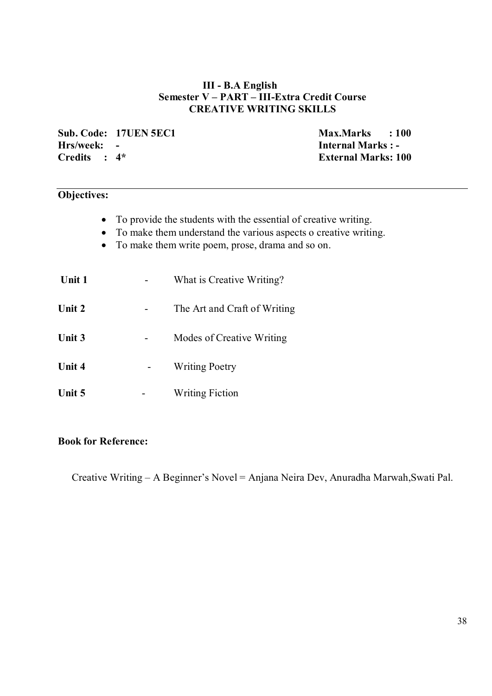### **III - B.A English Semester V – PART – III-Extra Credit Course CREATIVE WRITING SKILLS**

**Sub. Code: 17UEN 5EC1** Max.Marks : 100<br> **Hrs/week:** - **Max.Marks : 100 Hrs/week: - Internal Marks : -** 

**External Marks: 100** 

### **Objectives:**

- To provide the students with the essential of creative writing.
- To make them understand the various aspects o creative writing.
- To make them write poem, prose, drama and so on.

| <b>Unit 1</b> | What is Creative Writing?    |
|---------------|------------------------------|
| Unit 2        | The Art and Craft of Writing |
| Unit 3        | Modes of Creative Writing    |
| Unit 4        | <b>Writing Poetry</b>        |
| Unit 5        | <b>Writing Fiction</b>       |

### **Book for Reference:**

Creative Writing – A Beginner's Novel = Anjana Neira Dev, Anuradha Marwah,Swati Pal.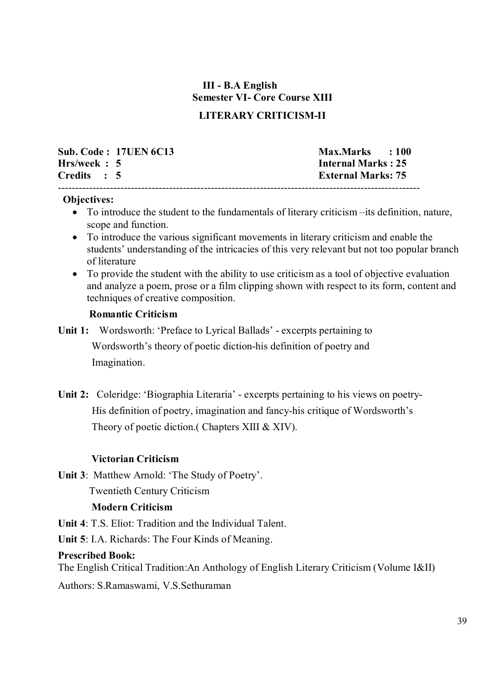# **III - B.A English Semester VI- Core Course XIII**

## **LITERARY CRITICISM-II**

|              | <b>Sub. Code: 17UEN 6C13</b> | Max.Marks : 100           |
|--------------|------------------------------|---------------------------|
| Hrs/week : 5 |                              | <b>Internal Marks: 25</b> |
| Credits : 5  |                              | <b>External Marks: 75</b> |
|              |                              |                           |

#### **Objectives:**

- To introduce the student to the fundamentals of literary criticism –its definition, nature, scope and function.
- To introduce the various significant movements in literary criticism and enable the students' understanding of the intricacies of this very relevant but not too popular branch of literature
- To provide the student with the ability to use criticism as a tool of objective evaluation and analyze a poem, prose or a film clipping shown with respect to its form, content and techniques of creative composition.

#### **Romantic Criticism**

**Unit 1:** Wordsworth: 'Preface to Lyrical Ballads' - excerpts pertaining to Wordsworth's theory of poetic diction-his definition of poetry and Imagination.

**Unit 2:** Coleridge: 'Biographia Literaria' - excerpts pertaining to his views on poetry- His definition of poetry, imagination and fancy-his critique of Wordsworth's Theory of poetic diction.( Chapters XIII & XIV).

### **Victorian Criticism**

**Unit 3**: Matthew Arnold: 'The Study of Poetry'.

Twentieth Century Criticism

### **Modern Criticism**

**Unit 4**: T.S. Eliot: Tradition and the Individual Talent.

**Unit 5**: I.A. Richards: The Four Kinds of Meaning.

### **Prescribed Book:**

The English Critical Tradition:An Anthology of English Literary Criticism (Volume I&II)

Authors: S.Ramaswami, V.S.Sethuraman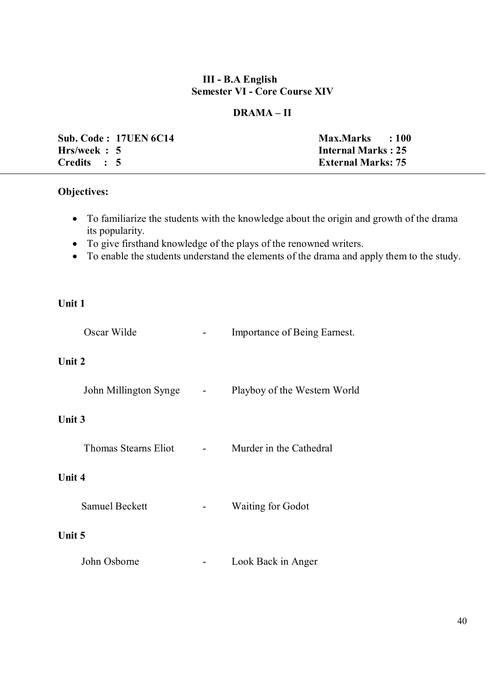### **III - B.A English Semester VI - Core Course XIV**

## **DRAMA – II**

|              | <b>Sub. Code: 17UEN 6C14</b> | <b>Max.Marks</b>          | $\therefore 100$ |
|--------------|------------------------------|---------------------------|------------------|
| Hrs/week : 5 |                              | <b>Internal Marks: 25</b> |                  |
| Credits : 5  |                              | <b>External Marks: 75</b> |                  |

## **Objectives:**

- To familiarize the students with the knowledge about the origin and growth of the drama its popularity.
- To give firsthand knowledge of the plays of the renowned writers.
- To enable the students understand the elements of the drama and apply them to the study.

### **Unit 1**

| Oscar Wilde                 | Importance of Being Earnest. |
|-----------------------------|------------------------------|
| Unit 2                      |                              |
| John Millington Synge       | Playboy of the Western World |
| Unit 3                      |                              |
| <b>Thomas Stearns Eliot</b> | Murder in the Cathedral      |
| Unit 4                      |                              |
| <b>Samuel Beckett</b>       | <b>Waiting for Godot</b>     |
| Unit 5                      |                              |
| John Osborne                | Look Back in Anger           |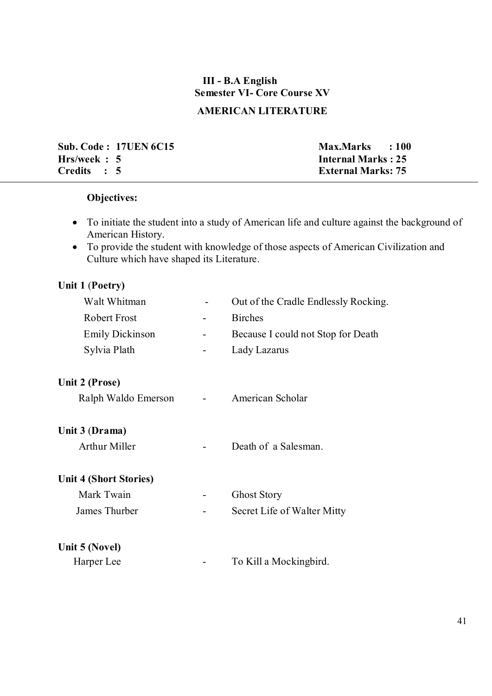# **III - B.A English Semester VI- Core Course XV**

## **AMERICAN LITERATURE**

**Sub. Code : 17UEN 6C15** Max.Marks : 100 **Hrs/week : 5 Internal Marks : 25<br>Credits : 5 External Marks: 75** 

**External Marks: 75** 

## **Objectives:**

- To initiate the student into a study of American life and culture against the background of American History.
- To provide the student with knowledge of those aspects of American Civilization and Culture which have shaped its Literature.

## **Unit 1** (**Poetry)**

| Walt Whitman                  | Out of the Cradle Endlessly Rocking. |
|-------------------------------|--------------------------------------|
| <b>Robert Frost</b>           | <b>Birches</b>                       |
| <b>Emily Dickinson</b>        | Because I could not Stop for Death   |
| Sylvia Plath                  | Lady Lazarus                         |
| Unit 2 (Prose)                |                                      |
| Ralph Waldo Emerson           | American Scholar                     |
| Unit 3 (Drama)                |                                      |
| <b>Arthur Miller</b>          | Death of a Salesman.                 |
| <b>Unit 4 (Short Stories)</b> |                                      |
| Mark Twain                    | <b>Ghost Story</b>                   |
| James Thurber                 | Secret Life of Walter Mitty          |
| Unit 5 (Novel)                |                                      |
| Harper Lee                    | To Kill a Mockingbird.               |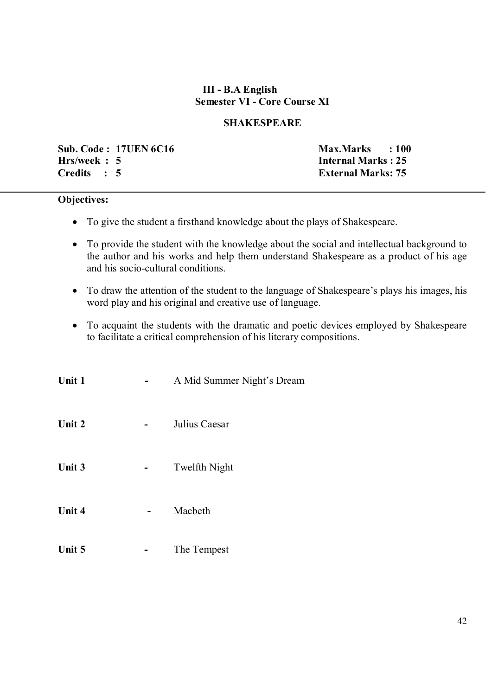### **III - B.A English Semester VI - Core Course XI**

### **SHAKESPEARE**

**Sub. Code : 17UEN 6C16 Max.Marks : 100 Hrs/week : 5 Internal Marks : 25 Credits : 5 External Marks: 75**

#### **Objectives:**

- To give the student a firsthand knowledge about the plays of Shakespeare.
- To provide the student with the knowledge about the social and intellectual background to the author and his works and help them understand Shakespeare as a product of his age and his socio-cultural conditions.
- To draw the attention of the student to the language of Shakespeare's plays his images, his word play and his original and creative use of language.
- To acquaint the students with the dramatic and poetic devices employed by Shakespeare to facilitate a critical comprehension of his literary compositions.

| Unit 1 | A Mid Summer Night's Dream |
|--------|----------------------------|
| Unit 2 | Julius Caesar              |
| Unit 3 | Twelfth Night              |
| Unit 4 | Macbeth                    |
| Unit 5 | The Tempest                |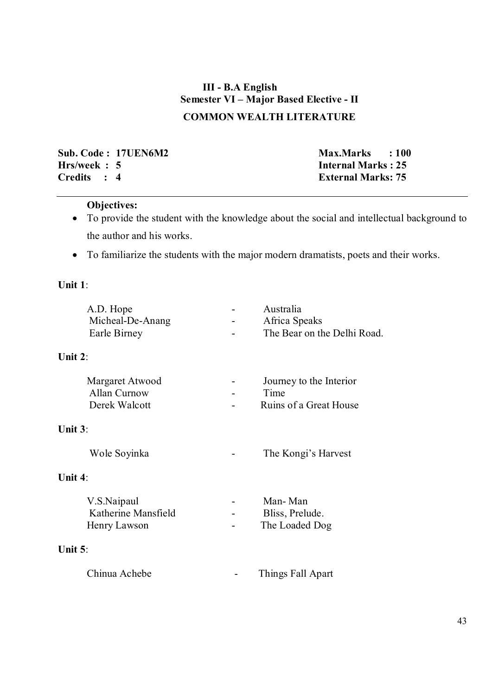# **III - B.A English Semester VI – Major Based Elective - II COMMON WEALTH LITERATURE**

**Sub. Code : 17UEN6M2** Max.Marks : 100<br> **Hrs/week : 5** Internal Marks : 25 **Hrs/week : 5 Internal Marks : 25<br>Credits : 4 External Marks : 75** 

**External Marks: 75** 

### **Objectives:**

- To provide the student with the knowledge about the social and intellectual background to the author and his works.
- To familiarize the students with the major modern dramatists, poets and their works.

### **Unit 1**:

| A.D. Hope<br>Micheal-De-Anang<br>Earle Birney           | Australia<br>Africa Speaks<br>The Bear on the Delhi Road. |
|---------------------------------------------------------|-----------------------------------------------------------|
| Unit $2$ :                                              |                                                           |
| Margaret Atwood<br><b>Allan Curnow</b><br>Derek Walcott | Journey to the Interior<br>Time<br>Ruins of a Great House |
| Unit $3$ :                                              |                                                           |
| Wole Soyinka                                            | The Kongi's Harvest                                       |
| Unit $4$ :                                              |                                                           |
| V.S.Naipaul<br>Katherine Mansfield<br>Henry Lawson      | Man-Man<br>Bliss, Prelude.<br>The Loaded Dog              |
| Unit $5$ :                                              |                                                           |
| Chinua Achebe                                           | Things Fall Apart                                         |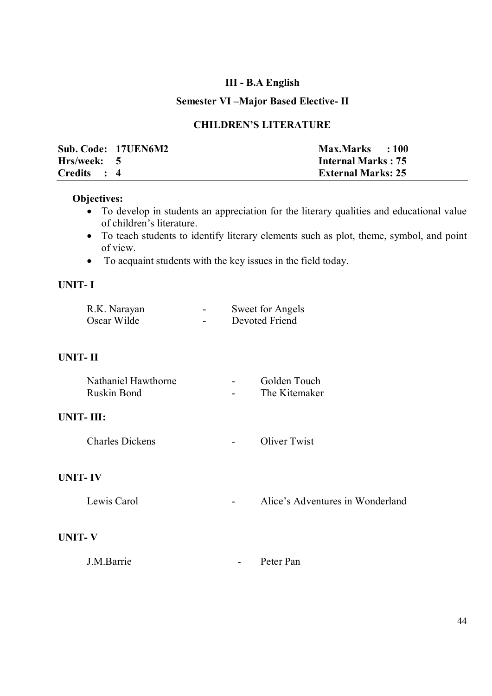## **III - B.A English**

## **Semester VI –Major Based Elective- II**

### **CHILDREN'S LITERATURE**

|             | Sub. Code: 17UEN6M2 | Max.Marks : 100           |
|-------------|---------------------|---------------------------|
| Hrs/week: 5 |                     | <b>Internal Marks: 75</b> |
| Credits : 4 |                     | <b>External Marks: 25</b> |

### **Objectives:**

- To develop in students an appreciation for the literary qualities and educational value of children's literature.
- To teach students to identify literary elements such as plot, theme, symbol, and point of view.
- To acquaint students with the key issues in the field today.

### **UNIT- I**

| R.K. Narayan |                          | Sweet for Angels |
|--------------|--------------------------|------------------|
| Oscar Wilde  | $\overline{\phantom{a}}$ | Devoted Friend   |

### **UNIT- II**

| Nathaniel Hawthorne | $\overline{\phantom{a}}$ | Golden Touch  |
|---------------------|--------------------------|---------------|
| Ruskin Bond         | $\overline{\phantom{0}}$ | The Kitemaker |

### **UNIT- III:**

| <b>Charles Dickens</b> |  | Oliver Twist |
|------------------------|--|--------------|
|------------------------|--|--------------|

### **UNIT- IV**

#### **UNIT- V**

| J.M.Barrie |  | Peter Pan |
|------------|--|-----------|
|------------|--|-----------|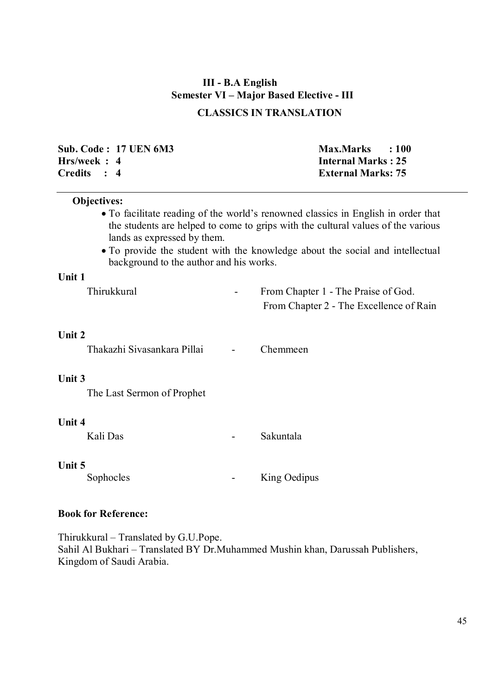## **III - B.A English Semester VI – Major Based Elective - III**

## **CLASSICS IN TRANSLATION**

|              | Sub. Code : 17 UEN 6M3 | Max.Marks : 100           |  |
|--------------|------------------------|---------------------------|--|
| Hrs/week : 4 |                        | <b>Internal Marks: 25</b> |  |
| Credits : 4  |                        | <b>External Marks: 75</b> |  |

#### **Objectives:**

- To facilitate reading of the world's renowned classics in English in order that the students are helped to come to grips with the cultural values of the various lands as expressed by them.
- To provide the student with the knowledge about the social and intellectual background to the author and his works.

### **Unit 1**

| Thirukkural | From Chapter 1 - The Praise of God.     |
|-------------|-----------------------------------------|
|             | From Chapter 2 - The Excellence of Rain |

#### **Unit 2**

Thakazhi Sivasankara Pillai - Chemmeen

### **Unit 3**

The Last Sermon of Prophet

#### **Unit 4**

Kali Das **- Sakuntala** 

#### **Unit 5**

Sophocles - King Oedipus

### **Book for Reference:**

Thirukkural – Translated by G.U.Pope. Sahil Al Bukhari – Translated BY Dr.Muhammed Mushin khan, Darussah Publishers, Kingdom of Saudi Arabia.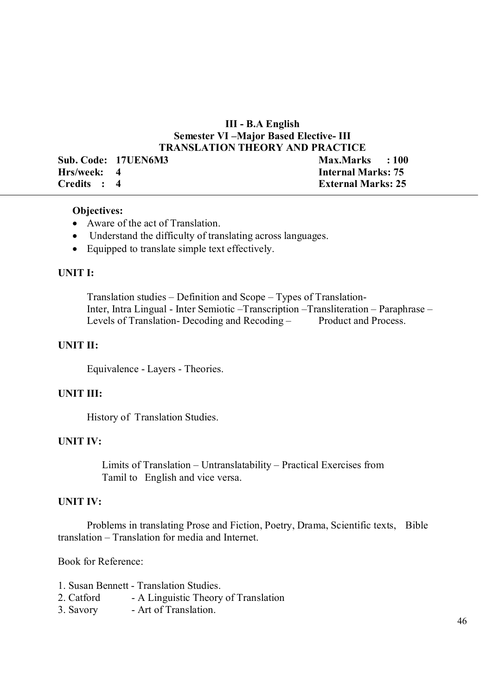### **III - B.A English Semester VI –Major Based Elective- III TRANSLATION THEORY AND PRACTICE**

|             | Sub. Code: 17UEN6M3 | Max.Marks : 100           |
|-------------|---------------------|---------------------------|
| Hrs/week: 4 |                     | <b>Internal Marks: 75</b> |
| Credits : 4 |                     | <b>External Marks: 25</b> |

#### **Objectives:**

- Aware of the act of Translation.
- Understand the difficulty of translating across languages.
- Equipped to translate simple text effectively.

### **UNIT I:**

 Translation studies – Definition and Scope – Types of Translation- Inter, Intra Lingual - Inter Semiotic –Transcription –Transliteration – Paraphrase – Levels of Translation-Decoding and Recoding – Product and Process.

### **UNIT II:**

Equivalence - Layers - Theories.

#### **UNIT III:**

History of Translation Studies.

### **UNIT IV:**

 Limits of Translation – Untranslatability – Practical Exercises from Tamil to English and vice versa.

#### **UNIT IV:**

Problems in translating Prose and Fiction, Poetry, Drama, Scientific texts, Bible translation – Translation for media and Internet.

Book for Reference:

|  |  | 1. Susan Bennett - Translation Studies. |
|--|--|-----------------------------------------|
|  |  |                                         |

- 2. Catford A Linguistic Theory of Translation
- 3. Savory Art of Translation.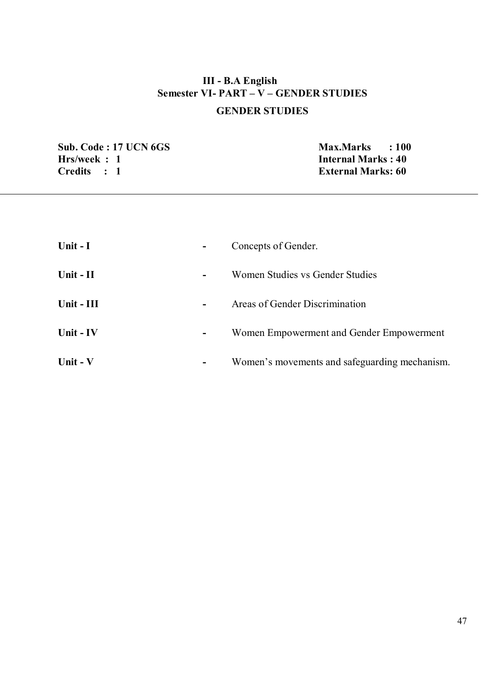# **III - B.A English Semester VI- PART – V – GENDER STUDIES GENDER STUDIES**

**Sub. Code : 17 UCN 6GS** Max.Marks : 100<br> **Hrs/week : 1 Hrs/week : 1**<br>Credits : 1 **Internal Marks : 40**<br>External Marks: 60

**External Marks: 60** 

| Unit $-I$  | Concepts of Gender.                           |
|------------|-----------------------------------------------|
| Unit - II  | Women Studies vs Gender Studies               |
| Unit - III | Areas of Gender Discrimination                |
| Unit - IV  | Women Empowerment and Gender Empowerment<br>- |
| Unit - V   | Women's movements and safeguarding mechanism. |